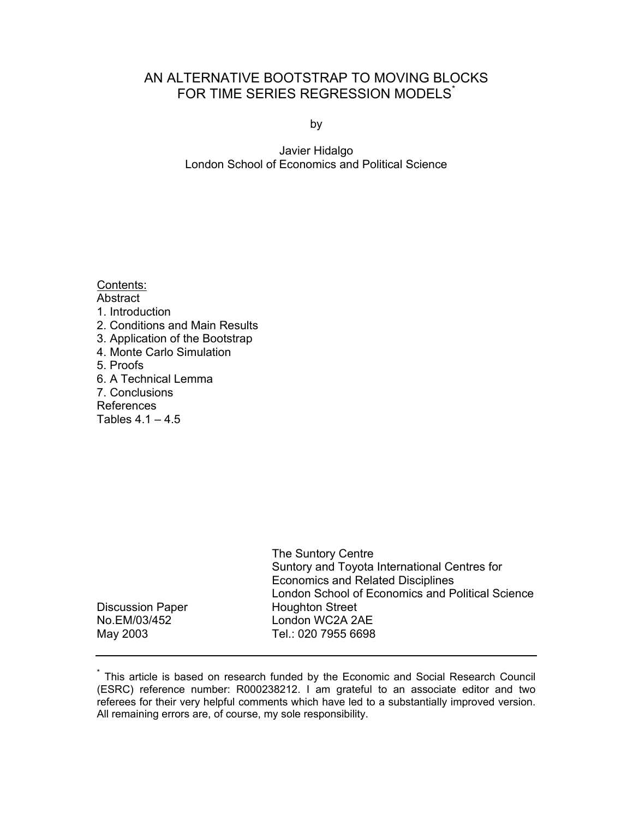# AN ALTERNATIVE BOOTSTRAP TO MOVING BLOCKS FOR TIME SERIES REGRESSION MODELS<sup>\*</sup>

by

Javier Hidalgo London School of Economics and Political Science

|                         | The Suntory Centre<br>Suntory and Toyota International Centres for<br><b>Economics and Related Disciplines</b><br>London School of Economics and Political Science |
|-------------------------|--------------------------------------------------------------------------------------------------------------------------------------------------------------------|
| <b>Discussion Paper</b> | <b>Houghton Street</b>                                                                                                                                             |
| No.EM/03/452            | London WC2A 2AE                                                                                                                                                    |
| May 2003                | Tel.: 020 7955 6698                                                                                                                                                |

<sup>\*</sup> This article is based on research funded by the Economic and Social Research Council (ESRC) reference number: R000238212. I am grateful to an associate editor and two referees for their very helpful comments which have led to a substantially improved version. All remaining errors are, of course, my sole responsibility.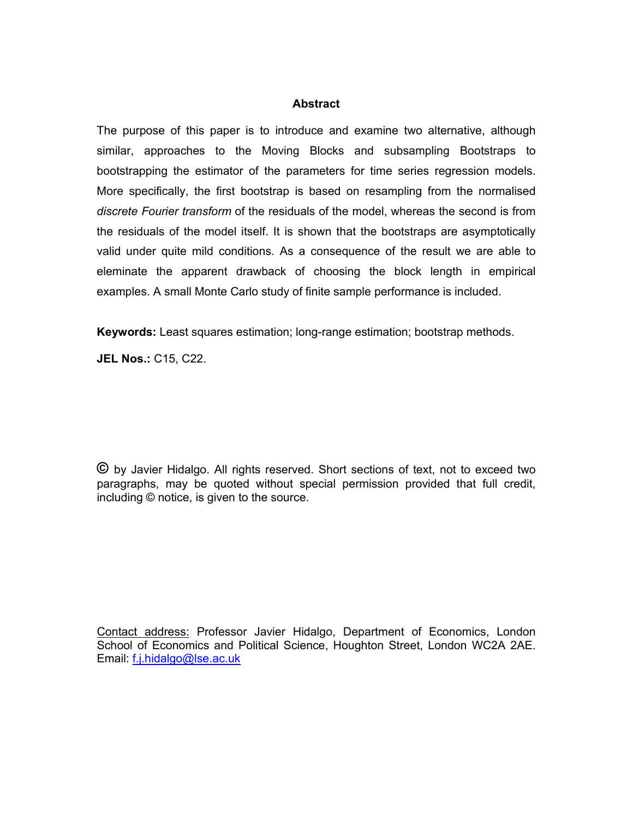# **Abstract**

The purpose of this paper is to introduce and examine two alternative, although similar, approaches to the Moving Blocks and subsampling Bootstraps to bootstrapping the estimator of the parameters for time series regression models. More specifically, the first bootstrap is based on resampling from the normalised *discrete Fourier transform* of the residuals of the model, whereas the second is from the residuals of the model itself. It is shown that the bootstraps are asymptotically valid under quite mild conditions. As a consequence of the result we are able to eleminate the apparent drawback of choosing the block length in empirical examples. A small Monte Carlo study of finite sample performance is included.

**Keywords:** Least squares estimation; long-range estimation; bootstrap methods.

**JEL Nos.:** C15, C22.

**©** by Javier Hidalgo. All rights reserved. Short sections of text, not to exceed two paragraphs, may be quoted without special permission provided that full credit, including © notice, is given to the source.

Contact address: Professor Javier Hidalgo, Department of Economics, London School of Economics and Political Science, Houghton Street, London WC2A 2AE. Email: f.j.hidalgo@lse.ac.uk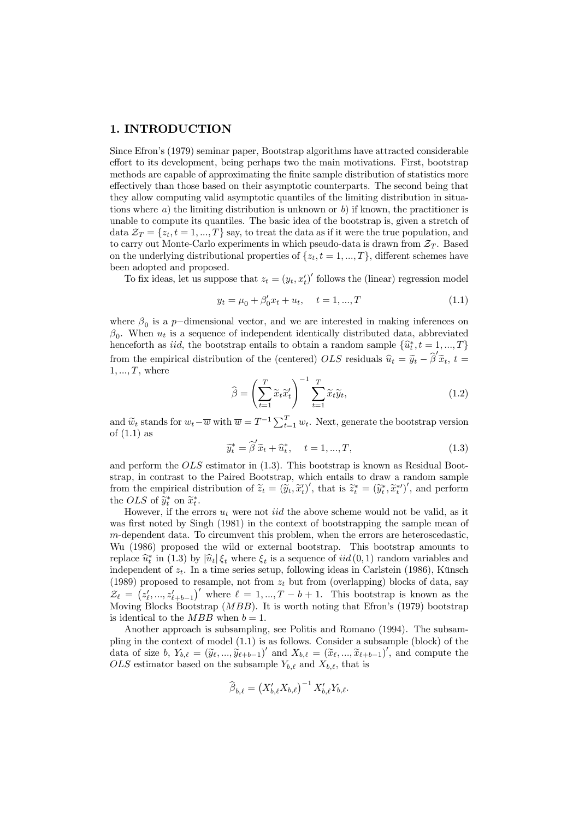## 1. INTRODUCTION

Since Efron's (1979) seminar paper, Bootstrap algorithms have attracted considerable effort to its development, being perhaps two the main motivations. First, bootstrap methods are capable of approximating the finite sample distribution of statistics more effectively than those based on their asymptotic counterparts. The second being that they allow computing valid asymptotic quantiles of the limiting distribution in situations where a) the limiting distribution is unknown or b) if known, the practitioner is unable to compute its quantiles. The basic idea of the bootstrap is, given a stretch of data  $\mathcal{Z}_T = \{z_t, t = 1, ..., T\}$  say, to treat the data as if it were the true population, and to carry out Monte-Carlo experiments in which pseudo-data is drawn from  $\mathcal{Z}_T$ . Based on the underlying distributional properties of  $\{z_t, t = 1, ..., T\}$ , different schemes have been adopted and proposed.

To fix ideas, let us suppose that  $z_t = (y_t, x_t')'$  follows the (linear) regression model

$$
y_t = \mu_0 + \beta'_0 x_t + u_t, \quad t = 1, ..., T
$$
\n(1.1)

where  $\beta_0$  is a p-dimensional vector, and we are interested in making inferences on  $\beta_0$ . When  $u_t$  is a sequence of independent identically distributed data, abbreviated henceforth as *iid*, the bootstrap entails to obtain a random sample  $\{\hat{u}_t^*, t = 1, ..., T\}$ from the empirical distribution of the (centered)  $OLS$  residuals  $\hat{u}_t = \tilde{y}_t - \hat{\beta}'\tilde{x}_t$ ,  $t =$  $1, \ldots, T$ , where

$$
\widehat{\beta} = \left(\sum_{t=1}^{T} \widetilde{x}_t \widetilde{x}_t'\right)^{-1} \sum_{t=1}^{T} \widetilde{x}_t \widetilde{y}_t, \tag{1.2}
$$

and  $\widetilde{w}_t$  stands for  $w_t - \overline{w}$  with  $\overline{w} = T^{-1} \sum_{t=1}^T w_t$ . Next, generate the bootstrap version of (1.1) as

$$
\widetilde{y}_t^* = \widehat{\beta}' \widetilde{x}_t + \widehat{u}_t^*, \quad t = 1, ..., T,
$$
\n(1.3)

and perform the OLS estimator in (1.3). This bootstrap is known as Residual Bootstrap, in contrast to the Paired Bootstrap, which entails to draw a random sample from the empirical distribution of  $\widetilde{z}_t = (\widetilde{y}_t, \widetilde{x}_t')'$ , that is  $\widetilde{z}_t^* = (\widetilde{y}_t^*, \widetilde{x}_t^{*\prime})'$ , and perform the OLS of  $\widetilde{y}_t^*$  on  $\widetilde{x}_t^*$ .

However, if the errors  $u_t$  were not *iid* the above scheme would not be valid, as it was first noted by Singh (1981) in the context of bootstrapping the sample mean of m-dependent data. To circumvent this problem, when the errors are heteroscedastic, Wu (1986) proposed the wild or external bootstrap. This bootstrap amounts to replace  $\hat{u}_t^*$  in (1.3) by  $|\hat{u}_t| \xi_t$  where  $\xi_t$  is a sequence of  $iid(0, 1)$  random variables and independent of  $z_t$ . In a time series setup, following ideas in Carlstein (1986), Künsch (1989) proposed to resample, not from  $z_t$  but from (overlapping) blocks of data, say  $\mathcal{Z}_{\ell} = (z'_{\ell},...,z'_{\ell+b-1})'$  where  $\ell = 1,...,T-b+1$ . This bootstrap is known as the Moving Blocks Bootstrap (MBB). It is worth noting that Efron's (1979) bootstrap is identical to the  $MBB$  when  $b = 1$ .

Another approach is subsampling, see Politis and Romano (1994). The subsampling in the context of model (1.1) is as follows. Consider a subsample (block) of the data of size  $b, Y_{b,\ell} = (\tilde{y}_{\ell}, ..., \tilde{y}_{\ell+b-1})'$  and  $X_{b,\ell} = (\tilde{x}_{\ell}, ..., \tilde{x}_{\ell+b-1})'$ , and compute the  $OLS$  estimator based on the subsample  $Y_{b,\ell}$  and  $X_{b,\ell}$ , that is

$$
\widehat{\beta}_{b,\ell} = \left(X'_{b,\ell}X_{b,\ell}\right)^{-1}X'_{b,\ell}Y_{b,\ell}.
$$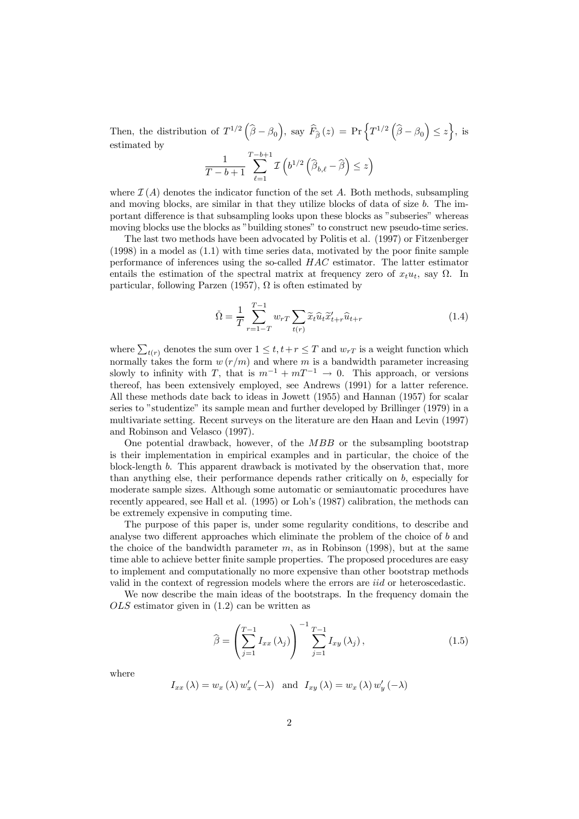Then, the distribution of  $T^{1/2}(\hat{\beta}-\beta_0)$ , say  $\widehat{F}_{\hat{\beta}}(z) = \Pr\left\{T^{1/2}(\hat{\beta}-\beta_0) \leq z\right\}$ , is estimated by

$$
\frac{1}{T-b+1}\sum_{\ell=1}^{T-b+1}\mathcal{I}\left(b^{1/2}\left(\widehat{\beta}_{b,\ell}-\widehat{\beta}\right)\leq z\right)
$$

where  $\mathcal{I}(A)$  denotes the indicator function of the set A. Both methods, subsampling and moving blocks, are similar in that they utilize blocks of data of size b. The important difference is that subsampling looks upon these blocks as "subseries" whereas moving blocks use the blocks as "building stones" to construct new pseudo-time series.

The last two methods have been advocated by Politis et al. (1997) or Fitzenberger (1998) in a model as (1.1) with time series data, motivated by the poor finite sample performance of inferences using the so-called HAC estimator. The latter estimator entails the estimation of the spectral matrix at frequency zero of  $x_t u_t$ , say  $\Omega$ . In particular, following Parzen (1957),  $\Omega$  is often estimated by

$$
\check{\Omega} = \frac{1}{T} \sum_{r=1-T}^{T-1} w_{rT} \sum_{t(r)} \widetilde{x}_{t} \widehat{u}_{t} \widetilde{x}'_{t+r} \widehat{u}_{t+r}
$$
\n(1.4)

where  $\sum_{t(r)}$  denotes the sum over  $1 \leq t, t+r \leq T$  and  $w_{rT}$  is a weight function which normally takes the form  $w(r/m)$  and where m is a bandwidth parameter increasing slowly to infinity with T, that is  $m^{-1} + mT^{-1} \to 0$ . This approach, or versions thereof, has been extensively employed, see Andrews (1991) for a latter reference. All these methods date back to ideas in Jowett (1955) and Hannan (1957) for scalar series to "studentize" its sample mean and further developed by Brillinger (1979) in a multivariate setting. Recent surveys on the literature are den Haan and Levin (1997) and Robinson and Velasco (1997).

One potential drawback, however, of the MBB or the subsampling bootstrap is their implementation in empirical examples and in particular, the choice of the block-length b. This apparent drawback is motivated by the observation that, more than anything else, their performance depends rather critically on b, especially for moderate sample sizes. Although some automatic or semiautomatic procedures have recently appeared, see Hall et al. (1995) or Loh's (1987) calibration, the methods can be extremely expensive in computing time.

The purpose of this paper is, under some regularity conditions, to describe and analyse two different approaches which eliminate the problem of the choice of b and the choice of the bandwidth parameter  $m$ , as in Robinson (1998), but at the same time able to achieve better finite sample properties. The proposed procedures are easy to implement and computationally no more expensive than other bootstrap methods valid in the context of regression models where the errors are iid or heteroscedastic.

We now describe the main ideas of the bootstraps. In the frequency domain the OLS estimator given in (1.2) can be written as

$$
\widehat{\beta} = \left(\sum_{j=1}^{T-1} I_{xx}(\lambda_j)\right)^{-1} \sum_{j=1}^{T-1} I_{xy}(\lambda_j), \qquad (1.5)
$$

where

$$
I_{xx} (\lambda) = w_x (\lambda) w'_x (-\lambda) \text{ and } I_{xy} (\lambda) = w_x (\lambda) w'_y (-\lambda)
$$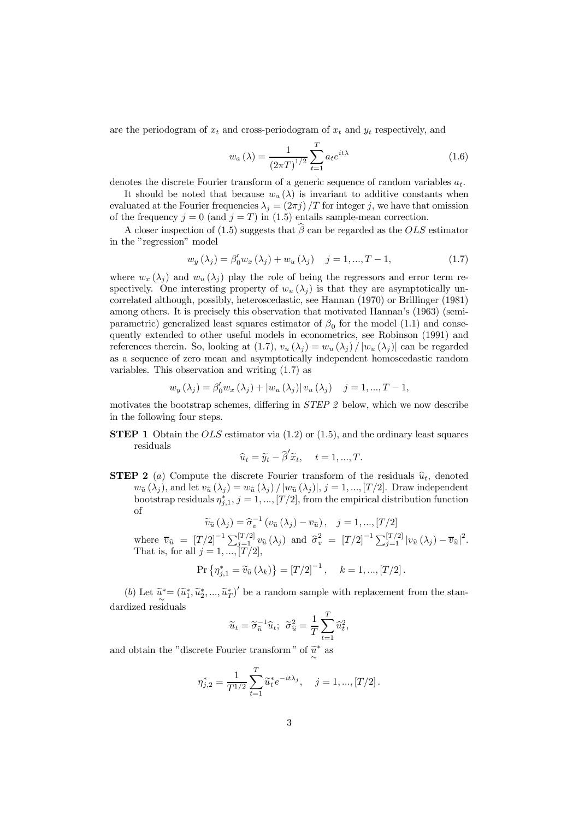are the periodogram of  $x_t$  and cross-periodogram of  $x_t$  and  $y_t$  respectively, and

$$
w_a(\lambda) = \frac{1}{(2\pi T)^{1/2}} \sum_{t=1}^{T} a_t e^{it\lambda}
$$
 (1.6)

denotes the discrete Fourier transform of a generic sequence of random variables  $a_t$ .

It should be noted that because  $w_a(\lambda)$  is invariant to additive constants when evaluated at the Fourier frequencies  $\lambda_i = (2\pi i)/T$  for integer j, we have that omission of the frequency  $j = 0$  (and  $j = T$ ) in (1.5) entails sample-mean correction.

A closer inspection of (1.5) suggests that  $\hat{\beta}$  can be regarded as the OLS estimator in the "regression" model

$$
w_y(\lambda_j) = \beta'_0 w_x(\lambda_j) + w_u(\lambda_j) \quad j = 1, ..., T - 1,
$$
\n(1.7)

where  $w_x(\lambda_i)$  and  $w_y(\lambda_i)$  play the role of being the regressors and error term respectively. One interesting property of  $w_u(\lambda_i)$  is that they are asymptotically uncorrelated although, possibly, heteroscedastic, see Hannan (1970) or Brillinger (1981) among others. It is precisely this observation that motivated Hannan's (1963) (semiparametric) generalized least squares estimator of  $\beta_0$  for the model (1.1) and consequently extended to other useful models in econometrics, see Robinson (1991) and references therein. So, looking at (1.7),  $v_u(\lambda_i) = w_u(\lambda_i) / |w_u(\lambda_i)|$  can be regarded as a sequence of zero mean and asymptotically independent homoscedastic random variables. This observation and writing (1.7) as

$$
w_y(\lambda_j) = \beta'_0 w_x(\lambda_j) + |w_u(\lambda_j)| v_u(\lambda_j) \quad j = 1, ..., T - 1,
$$

motivates the bootstrap schemes, differing in STEP 2 below, which we now describe in the following four steps.

**STEP 1** Obtain the  $OLS$  estimator via  $(1.2)$  or  $(1.5)$ , and the ordinary least squares residuals

$$
\widehat{u}_t = \widetilde{y}_t - \widehat{\beta}' \widetilde{x}_t, \quad t = 1, ..., T.
$$

**STEP 2** (a) Compute the discrete Fourier transform of the residuals  $\hat{u}_t$ , denoted  $w_{\hat{u}}(\lambda_i)$ , and let  $v_{\hat{u}}(\lambda_i) = w_{\hat{u}}(\lambda_i) / |w_{\hat{u}}(\lambda_i)|, j = 1, ..., [T/2]$ . Draw independent bootstrap residuals  $\eta_{j,1}^*, j=1,...,[T/2]$ , from the empirical distribution function of

$$
\widetilde{v}_{\widehat{u}}\left(\lambda_{j}\right) = \widehat{\sigma}_{v}^{-1}\left(v_{\widehat{u}}\left(\lambda_{j}\right) - \overline{v}_{\widehat{u}}\right), \quad j = 1, ..., [T/2]
$$

where  $\overline{v}_{\hat{u}} = [T/2]^{-1} \sum_{j=1}^{[T/2]} v_{\hat{u}}(\lambda_j)$  and  $\hat{\sigma}_v^2 = [T/2]^{-1} \sum_{j=1}^{[T/2]} |v_{\hat{u}}(\lambda_j) - \overline{v}_{\hat{u}}|^2$ . That is, for all  $j = 1, ..., [T/2]$ ,

$$
\Pr \left\{ \eta_{j,1}^{*} = \tilde{v}_{\hat{u}} \left( \lambda_{k} \right) \right\} = \left[ T/2 \right]^{-1}, \quad k = 1, ..., \left[ T/2 \right].
$$

(b) Let  $\tilde{u}^* = (\tilde{u}_1^*, \tilde{u}_2^*, ..., \tilde{u}_T^*)'$  be a random sample with replacement from the standardized residuals

$$
\widetilde{u}_t = \widetilde{\sigma}_{\widehat{u}}^{-1} \widehat{u}_t; \ \ \widetilde{\sigma}_{\widehat{u}}^2 = \frac{1}{T} \sum_{t=1}^T \widehat{u}_t^2,
$$

and obtain the "discrete Fourier transform" of  $\widetilde{\widetilde{\mu}}^*$  as

$$
\eta_{j,2}^* = \frac{1}{T^{1/2}} \sum_{t=1}^T \widetilde{u}_t^* e^{-it\lambda_j}, \quad j = 1, ..., [T/2].
$$

∼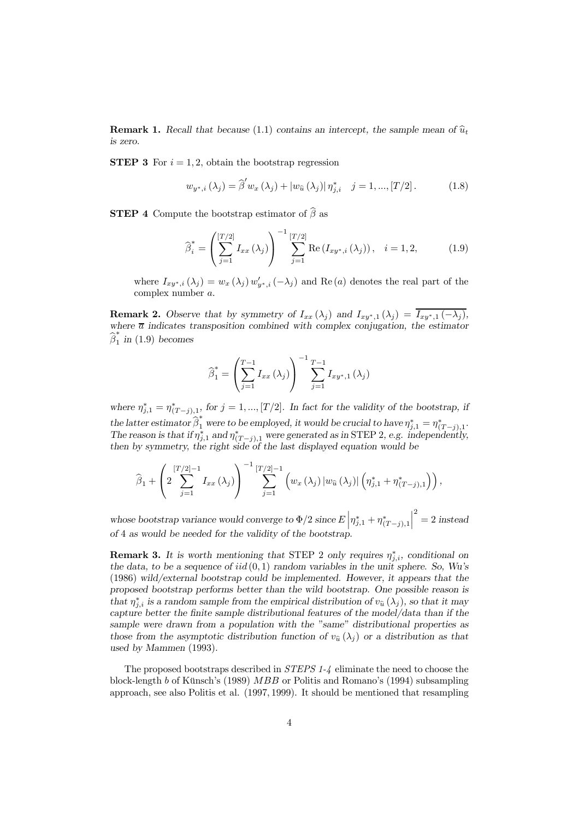**Remark 1.** Recall that because (1.1) contains an intercept, the sample mean of  $\hat{u}_t$ is zero.

**STEP 3** For  $i = 1, 2$ , obtain the bootstrap regression

$$
w_{y^*,i} (\lambda_j) = \hat{\beta}' w_x (\lambda_j) + |w_{\hat{u}} (\lambda_j)| \eta^*_{j,i} \quad j = 1, ..., [T/2]. \tag{1.8}
$$

**STEP 4** Compute the bootstrap estimator of  $\widehat{\boldsymbol{\beta}}$  as

$$
\widehat{\beta}_{i}^{*} = \left(\sum_{j=1}^{[T/2]} I_{xx}(\lambda_{j})\right)^{-1} \sum_{j=1}^{[T/2]} \text{Re}\left(I_{xy^{*},i}(\lambda_{j})\right), \quad i = 1, 2, \tag{1.9}
$$

where  $I_{xy^*,i}(\lambda_j) = w_x(\lambda_j) w'_{y^*,i}(-\lambda_j)$  and Re(a) denotes the real part of the complex number a.

**Remark 2.** Observe that by symmetry of  $I_{xx}(\lambda_j)$  and  $I_{xy^*,1}(\lambda_j) = I_{xy^*,1}(-\lambda_j)$ , where  $\bar{a}$  indicates transposition combined with complex conjugation, the estimator  $\widehat{\beta}_1^*$  in (1.9) becomes

$$
\widehat{\beta}_{1}^{*} = \left(\sum_{j=1}^{T-1} I_{xx} (\lambda_{j})\right)^{-1} \sum_{j=1}^{T-1} I_{xy^{*},1} (\lambda_{j})
$$

where  $\eta_{j,1}^* = \eta_{(T-j),1}^*$ , for  $j = 1, ..., [T/2]$ . In fact for the validity of the bootstrap, if the latter estimator  $\widehat{\beta}_1^*$  were to be employed, it would be crucial to have  $\eta_{j,1}^* = \eta_{(T-j),1}^*$ . The reason is that if  $\eta_{j,1}^*$  and  $\eta_{(T-j),1}^*$  were generated as in STEP 2, e.g. independently, then by symmetry, the right side of the last displayed equation would be

$$
\widehat{\beta}_1 + \left(2\sum_{j=1}^{[T/2]-1} I_{xx}(\lambda_j)\right)^{-1} \sum_{j=1}^{[T/2]-1} \left(w_x(\lambda_j) |w_{\widehat{u}}(\lambda_j)| \left(\eta_{j,1}^* + \eta_{(T-j),1}^*\right)\right),
$$

whose bootstrap variance would converge to  $\Phi/2$  since  $E\left|\eta_{j,1}^* + \eta_{(T-j),1}^*\right|$  $\begin{array}{|c|c|} \hline \multicolumn{1}{|c|}{3} & \multicolumn{1}{|c|}{4} \multicolumn{1}{|c|}{5} \multicolumn{1}{|c|}{6} \multicolumn{1}{|c|}{5} \multicolumn{1}{|c|}{6} \multicolumn{1}{|c|}{6} \multicolumn{1}{|c|}{6} \multicolumn{1}{|c|}{6} \multicolumn{1}{|c|}{6} \multicolumn{1}{|c|}{6} \multicolumn{1}{|c|}{6} \multicolumn{1}{|c|}{6} \multicolumn{1}{|c|}{6} \multicolumn{1}{|c|}{6} \multicolumn{1}{|c|$  $2^{2} = 2$  instead of 4 as would be needed for the validity of the bootstrap.

**Remark 3.** It is worth mentioning that STEP 2 only requires  $\eta_{j,i}^*$ , conditional on the data, to be a sequence of  $iid(0, 1)$  random variables in the unit sphere. So, Wu's (1986) wild/external bootstrap could be implemented. However, it appears that the proposed bootstrap performs better than the wild bootstrap. One possible reason is that  $\eta_{j,i}^*$  is a random sample from the empirical distribution of  $v_{\hat{u}}(\lambda_j)$ , so that it may capture better the finite sample distributional features of the model/data than if the sample were drawn from a population with the "same" distributional properties as those from the asymptotic distribution function of  $v_{\hat{u}}(\lambda_j)$  or a distribution as that used by Mammen (1993).

The proposed bootstraps described in STEPS 1-4 eliminate the need to choose the block-length b of Künsch's (1989) MBB or Politis and Romano's (1994) subsampling approach, see also Politis et al. (1997, 1999). It should be mentioned that resampling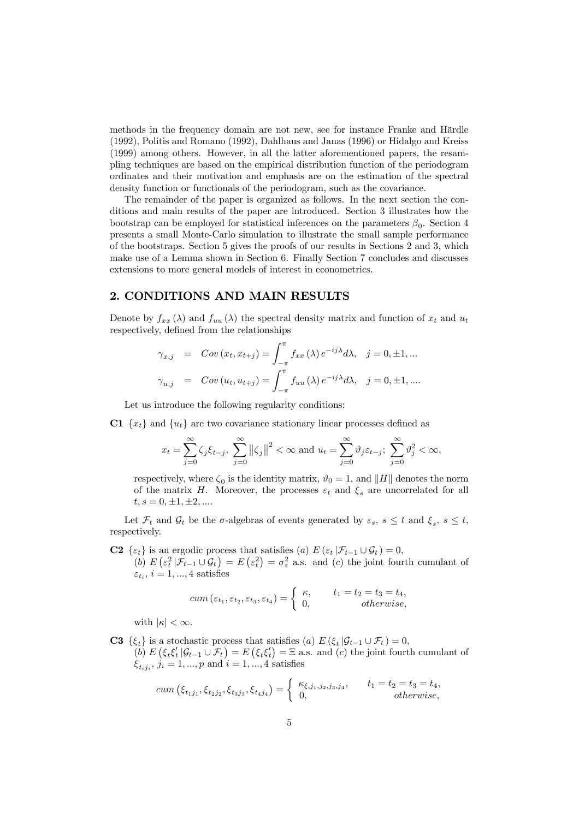methods in the frequency domain are not new, see for instance Franke and Härdle (1992), Politis and Romano (1992), Dahlhaus and Janas (1996) or Hidalgo and Kreiss (1999) among others. However, in all the latter aforementioned papers, the resampling techniques are based on the empirical distribution function of the periodogram ordinates and their motivation and emphasis are on the estimation of the spectral density function or functionals of the periodogram, such as the covariance.

The remainder of the paper is organized as follows. In the next section the conditions and main results of the paper are introduced. Section 3 illustrates how the bootstrap can be employed for statistical inferences on the parameters  $\beta_0$ . Section 4 presents a small Monte-Carlo simulation to illustrate the small sample performance of the bootstraps. Section 5 gives the proofs of our results in Sections 2 and 3, which make use of a Lemma shown in Section 6. Finally Section 7 concludes and discusses extensions to more general models of interest in econometrics.

## 2. CONDITIONS AND MAIN RESULTS

Denote by  $f_{xx}(\lambda)$  and  $f_{uu}(\lambda)$  the spectral density matrix and function of  $x_t$  and  $u_t$ respectively, defined from the relationships

$$
\gamma_{x,j} = Cov(x_t, x_{t+j}) = \int_{-\pi}^{\pi} f_{xx}(\lambda) e^{-ij\lambda} d\lambda, \quad j = 0, \pm 1, \dots
$$
  

$$
\gamma_{u,j} = Cov(u_t, u_{t+j}) = \int_{-\pi}^{\pi} f_{uu}(\lambda) e^{-ij\lambda} d\lambda, \quad j = 0, \pm 1, \dots
$$

Let us introduce the following regularity conditions:

C1  ${x_t}$  and  ${u_t}$  are two covariance stationary linear processes defined as

$$
x_t = \sum_{j=0}^{\infty} \zeta_j \xi_{t-j}, \sum_{j=0}^{\infty} ||\zeta_j||^2 < \infty \text{ and } u_t = \sum_{j=0}^{\infty} \vartheta_j \varepsilon_{t-j}; \sum_{j=0}^{\infty} \vartheta_j^2 < \infty,
$$

respectively, where  $\zeta_0$  is the identity matrix,  $\vartheta_0 = 1$ , and  $\|H\|$  denotes the norm of the matrix H. Moreover, the processes  $\varepsilon_t$  and  $\xi_s$  are uncorrelated for all  $t, s = 0, \pm 1, \pm 2, \dots$ 

Let  $\mathcal{F}_t$  and  $\mathcal{G}_t$  be the  $\sigma$ -algebras of events generated by  $\varepsilon_s$ ,  $s \leq t$  and  $\xi_s$ ,  $s \leq t$ , respectively.

**C2** { $\varepsilon_t$ } is an ergodic process that satisfies (a)  $E(\varepsilon_t | \mathcal{F}_{t-1} \cup \mathcal{G}_t) = 0$ , (b)  $E\left(\varepsilon_t^2 \middle| \mathcal{F}_{t-1} \cup \mathcal{G}_t\right) = E\left(\varepsilon_t^2\right) = \sigma_{\varepsilon}^2$  a.s. and (c) the joint fourth cumulant of  $\varepsilon_{t_i}$ ,  $i = 1, ..., 4$  satisfies

$$
cum(\varepsilon_{t_1}, \varepsilon_{t_2}, \varepsilon_{t_3}, \varepsilon_{t_4}) = \begin{cases} \kappa, & t_1 = t_2 = t_3 = t_4, \\ 0, & otherwise, \end{cases}
$$

with  $|\kappa| < \infty$ .

**C3**  $\{\xi_t\}$  is a stochastic process that satisfies (a)  $E(\xi_t | \mathcal{G}_{t-1} \cup \mathcal{F}_t) = 0$ , (b)  $E(\xi_t \xi_t' | \mathcal{G}_{t-1} \cup \mathcal{F}_t) = E(\xi_t \xi_t') = \Xi$  a.s. and (c) the joint fourth cumulant of  $\xi_{t_i,j_i}, j_i = 1, ..., p$  and  $i = 1, ..., 4$  satisfies

cum 
$$
(\xi_{t_1j_1}, \xi_{t_2j_2}, \xi_{t_3j_3}, \xi_{t_4j_4}) = \begin{cases} \kappa_{\xi, j_1, j_2, j_3, j_4}, & t_1 = t_2 = t_3 = t_4, \\ 0, & otherwise, \end{cases}
$$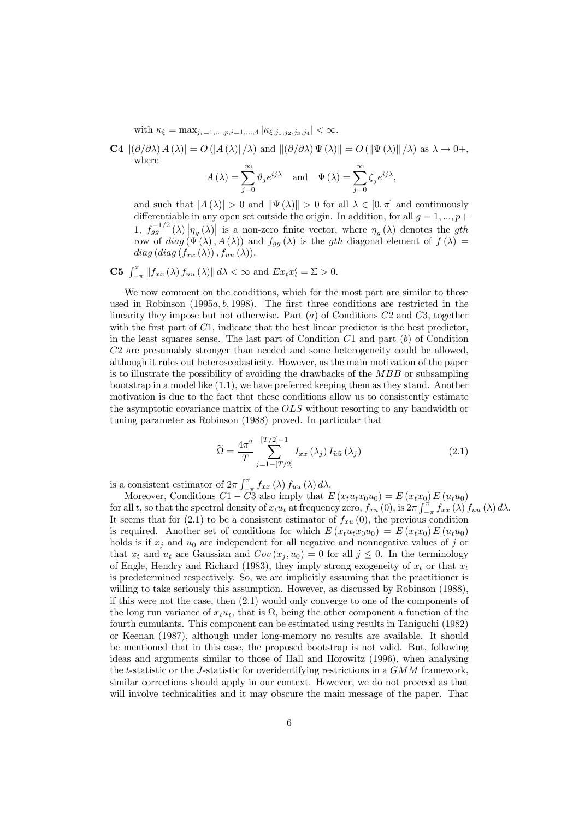with  $\kappa_{\xi} = \max_{i_1 = 1,...,p, i=1,...,4} |\kappa_{\xi, j_1, j_2, j_3, j_4}| < \infty$ .

**C4**  $|(\partial/\partial\lambda) A(\lambda)| = O(|A(\lambda)|/\lambda)$  and  $|(\partial/\partial\lambda) \Psi(\lambda)| = O(|\Psi(\lambda)|/\lambda)$  as  $\lambda \to 0+,$ where

$$
A(\lambda) = \sum_{j=0}^{\infty} \vartheta_j e^{ij\lambda}
$$
 and  $\Psi(\lambda) = \sum_{j=0}^{\infty} \zeta_j e^{ij\lambda}$ ,

and such that  $|A(\lambda)| > 0$  and  $\|\Psi(\lambda)\| > 0$  for all  $\lambda \in [0, \pi]$  and continuously differentiable in any open set outside the origin. In addition, for all  $q = 1, ..., p+1$ 1,  $f_{gg}^{-1/2}(\lambda) \left| \eta_g(\lambda) \right|$  is a non-zero finite vector, where  $\eta_g(\lambda)$  denotes the *gth* row of  $diag(\Psi(\lambda), A(\lambda))$  and  $f_{gg}(\lambda)$  is the gth diagonal element of  $f(\lambda) =$  $diag (diag (f_{xx}(\lambda)), f_{uu}(\lambda)).$ 

**C5**  $\int_{-\pi}^{\pi} ||f_{xx}(\lambda) f_{uu}(\lambda)|| d\lambda < \infty$  and  $Ex_{t}x'_{t} = \Sigma > 0$ .

We now comment on the conditions, which for the most part are similar to those used in Robinson  $(1995a, b, 1998)$ . The first three conditions are restricted in the linearity they impose but not otherwise. Part  $(a)$  of Conditions  $C2$  and  $C3$ , together with the first part of  $C_1$ , indicate that the best linear predictor is the best predictor, in the least squares sense. The last part of Condition  $C1$  and part  $(b)$  of Condition C2 are presumably stronger than needed and some heterogeneity could be allowed, although it rules out heteroscedasticity. However, as the main motivation of the paper is to illustrate the possibility of avoiding the drawbacks of the MBB or subsampling bootstrap in a model like (1.1), we have preferred keeping them as they stand. Another motivation is due to the fact that these conditions allow us to consistently estimate the asymptotic covariance matrix of the OLS without resorting to any bandwidth or tuning parameter as Robinson (1988) proved. In particular that

$$
\widetilde{\Omega} = \frac{4\pi^2}{T} \sum_{j=1-\lfloor T/2 \rfloor}^{\lfloor T/2 \rfloor -1} I_{xx} \left( \lambda_j \right) I_{\widehat{u}\widehat{u}} \left( \lambda_j \right) \tag{2.1}
$$

is a consistent estimator of  $2\pi \int_{-\pi}^{\pi} f_{xx}(\lambda) f_{uu}(\lambda) d\lambda$ .

Moreover, Conditions  $C1 - C3$  also imply that  $E(x_t u_t x_0 u_0) = E(x_t x_0) E(u_t u_0)$ for all t, so that the spectral density of  $x_t u_t$  at frequency zero,  $f_{xu}(0)$ , is  $2\pi \int_{-\pi}^{\pi} f_{xx}(\lambda) f_{uu}(\lambda) d\lambda$ . It seems that for  $(2.1)$  to be a consistent estimator of  $f_{xu}(0)$ , the previous condition is required. Another set of conditions for which  $E(x_t u_t x_0 u_0) = E(x_t x_0) E(u_t u_0)$ holds is if  $x_j$  and  $u_0$  are independent for all negative and nonnegative values of j or that  $x_t$  and  $u_t$  are Gaussian and  $Cov(x_j, u_0)=0$  for all  $j \leq 0$ . In the terminology of Engle, Hendry and Richard (1983), they imply strong exogeneity of  $x_t$  or that  $x_t$ is predetermined respectively. So, we are implicitly assuming that the practitioner is willing to take seriously this assumption. However, as discussed by Robinson (1988), if this were not the case, then (2.1) would only converge to one of the components of the long run variance of  $x_t u_t$ , that is  $\Omega$ , being the other component a function of the fourth cumulants. This component can be estimated using results in Taniguchi (1982) or Keenan (1987), although under long-memory no results are available. It should be mentioned that in this case, the proposed bootstrap is not valid. But, following ideas and arguments similar to those of Hall and Horowitz (1996), when analysing the t-statistic or the J-statistic for overidentifying restrictions in a  $GMM$  framework, similar corrections should apply in our context. However, we do not proceed as that will involve technicalities and it may obscure the main message of the paper. That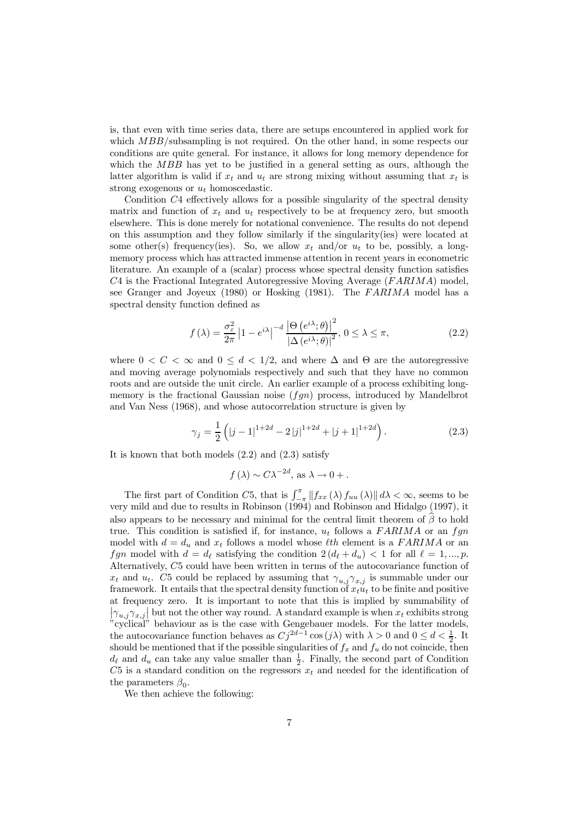is, that even with time series data, there are setups encountered in applied work for which  $MBB$ /subsampling is not required. On the other hand, in some respects our conditions are quite general. For instance, it allows for long memory dependence for which the MBB has yet to be justified in a general setting as ours, although the latter algorithm is valid if  $x_t$  and  $u_t$  are strong mixing without assuming that  $x_t$  is strong exogenous or  $u_t$  homoscedastic.

Condition C4 effectively allows for a possible singularity of the spectral density matrix and function of  $x_t$  and  $u_t$  respectively to be at frequency zero, but smooth elsewhere. This is done merely for notational convenience. The results do not depend on this assumption and they follow similarly if the singularity(ies) were located at some other(s) frequency(ies). So, we allow  $x_t$  and/or  $u_t$  to be, possibly, a longmemory process which has attracted immense attention in recent years in econometric literature. An example of a (scalar) process whose spectral density function satisfies  $C4$  is the Fractional Integrated Autoregressive Moving Average ( $FARIMA$ ) model, see Granger and Joyeux  $(1980)$  or Hosking  $(1981)$ . The FARIMA model has a spectral density function defined as

$$
f(\lambda) = \frac{\sigma_{\varepsilon}^{2}}{2\pi} \left| 1 - e^{i\lambda} \right|^{-d} \frac{\left| \Theta\left(e^{i\lambda}; \theta\right) \right|^{2}}{\left| \Delta\left(e^{i\lambda}; \theta\right) \right|^{2}}, 0 \le \lambda \le \pi,
$$
\n(2.2)

where  $0 < C < \infty$  and  $0 \leq d < 1/2$ , and where  $\Delta$  and  $\Theta$  are the autoregressive and moving average polynomials respectively and such that they have no common roots and are outside the unit circle. An earlier example of a process exhibiting longmemory is the fractional Gaussian noise  $(fqn)$  process, introduced by Mandelbrot and Van Ness (1968), and whose autocorrelation structure is given by

$$
\gamma_j = \frac{1}{2} \left( |j-1|^{1+2d} - 2|j|^{1+2d} + |j+1|^{1+2d} \right). \tag{2.3}
$$

It is known that both models (2.2) and (2.3) satisfy

$$
f(\lambda) \sim C \lambda^{-2d}
$$
, as  $\lambda \to 0+$ .

The first part of Condition C5, that is  $\int_{-\pi}^{\pi} ||f_{xx}(\lambda) f_{uu}(\lambda)|| d\lambda < \infty$ , seems to be very mild and due to results in Robinson (1994) and Robinson and Hidalgo (1997), it also appears to be necessary and minimal for the central limit theorem of  $\beta$  to hold true. This condition is satisfied if, for instance,  $u_t$  follows a FARIMA or an fgn model with  $d = d_u$  and  $x_t$  follows a model whose *l*th element is a FARIMA or an fgn model with  $d = d_{\ell}$  satisfying the condition  $2(d_{\ell} + d_u) < 1$  for all  $\ell = 1, ..., p$ . Alternatively, C5 could have been written in terms of the autocovariance function of  $x_t$  and  $u_t$ . C5 could be replaced by assuming that  $\gamma_{u,j}\gamma_{x,j}$  is summable under our framework. It entails that the spectral density function of  $x_t u_t$  to be finite and positive at frequency zero. It is important to note that this is implied by summability of  $|\gamma_{u,j}\gamma_{x,j}|$  but not the other way round. A standard example is when  $x_t$  exhibits strong "cyclical" behaviour as is the case with Gengebauer models. For the latter models, the autocovariance function behaves as  $Cj^{2d-1}\cos(j\lambda)$  with  $\lambda > 0$  and  $0 \le d < \frac{1}{2}$ . It should be mentioned that if the possible singularities of  $f_x$  and  $f_y$  do not coincide, then  $d_{\ell}$  and  $d_u$  can take any value smaller than  $\frac{1}{2}$ . Finally, the second part of Condition C5 is a standard condition on the regressors  $x_t$  and needed for the identification of the parameters  $\beta_0$ .

We then achieve the following: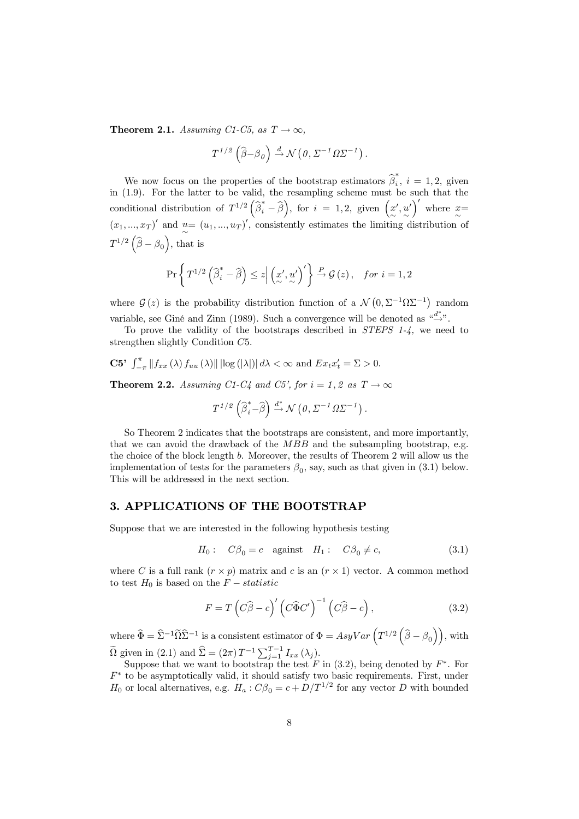**Theorem 2.1.** Assuming C1-C5, as  $T \rightarrow \infty$ ,

$$
T^{1/2}(\widehat{\beta}-\beta_0) \xrightarrow{d} \mathcal{N}(\theta, \Sigma^{-1}\Omega\Sigma^{-1}).
$$

We now focus on the properties of the bootstrap estimators  $\hat{\beta}_i^*, i = 1, 2$ , given in (1.9). For the latter to be valid, the resampling scheme must be such that the conditional distribution of  $T^{1/2}(\hat{\beta}_i^* - \hat{\beta})$ , for  $i = 1, 2$ , given  $\left(\underset{\infty}{\infty}\right)$ ∼  $\frac{u}{2}$  $\binom{y}{x}$  where  $\frac{x}{x}$  $(x_1, ..., x_T)'$  and  $u = (u_1, ..., u_T)'$ , consistently estimates the limiting distribution of  $T^{1/2}(\widehat{\beta}-\beta_0),$  that is

$$
\Pr\left\{T^{1/2}\left(\widehat{\beta}_i^*-\widehat{\beta}\right)\leq z\Big|\left(x',u'\right)'\right\}\xrightarrow{P}\mathcal{G}\left(z\right), \quad for\ i=1,2
$$

where  $\mathcal{G}(z)$  is the probability distribution function of a  $\mathcal{N}(0, \Sigma^{-1}\Omega\Sigma^{-1})$  random variable, see Giné and Zinn (1989). Such a convergence will be denoted as  $\frac{a^{d^*}}{2}$ .

To prove the validity of the bootstraps described in STEPS 1-4, we need to strengthen slightly Condition C5.

C5' 
$$
\int_{-\pi}^{\pi} ||f_{xx}(\lambda) f_{uu}(\lambda)|| \log (|\lambda|) | d\lambda < \infty
$$
 and  $Ex_{t}x'_{t} = \Sigma > 0$ .

**Theorem 2.2.** Assuming C1-C4 and C5', for  $i = 1, 2$  as  $T \rightarrow \infty$ 

$$
T^{1/2} \left( \widehat{\beta}_i^* - \widehat{\beta} \right) \xrightarrow{d^*} \mathcal{N} \left( \theta, \Sigma^{-1} \Omega \Sigma^{-1} \right).
$$

So Theorem 2 indicates that the bootstraps are consistent, and more importantly, that we can avoid the drawback of the  $MBB$  and the subsampling bootstrap, e.g. the choice of the block length b. Moreover, the results of Theorem 2 will allow us the implementation of tests for the parameters  $\beta_0$ , say, such as that given in (3.1) below. This will be addressed in the next section.

## 3. APPLICATIONS OF THE BOOTSTRAP

Suppose that we are interested in the following hypothesis testing

$$
H_0: C\beta_0 = c \quad \text{against} \quad H_1: C\beta_0 \neq c,\tag{3.1}
$$

where C is a full rank  $(r \times p)$  matrix and c is an  $(r \times 1)$  vector. A common method to test  $H_0$  is based on the  $F - statistic$ 

$$
F = T\left(C\widehat{\beta} - c\right)' \left(C\widehat{\Phi}C'\right)^{-1} \left(C\widehat{\beta} - c\right),\tag{3.2}
$$

where  $\widehat{\Phi} = \widehat{\Sigma}^{-1} \widetilde{\Omega} \widehat{\Sigma}^{-1}$  is a consistent estimator of  $\Phi = AsyVar\left(T^{1/2} \left(\widehat{\beta} - \beta_0\right)\right)$ , with  $\widetilde{\Omega}$  given in (2.1) and  $\widehat{\Sigma} = (2\pi) T^{-1} \sum_{j=1}^{T-1} I_{xx} (\lambda_j)$ .

Suppose that we want to bootstrap the test F in  $(3.2)$ , being denoted by  $F^*$ . For  $F^*$  to be asymptotically valid, it should satisfy two basic requirements. First, under  $H_0$  or local alternatives, e.g.  $H_a: C\beta_0 = c + D/T^{1/2}$  for any vector D with bounded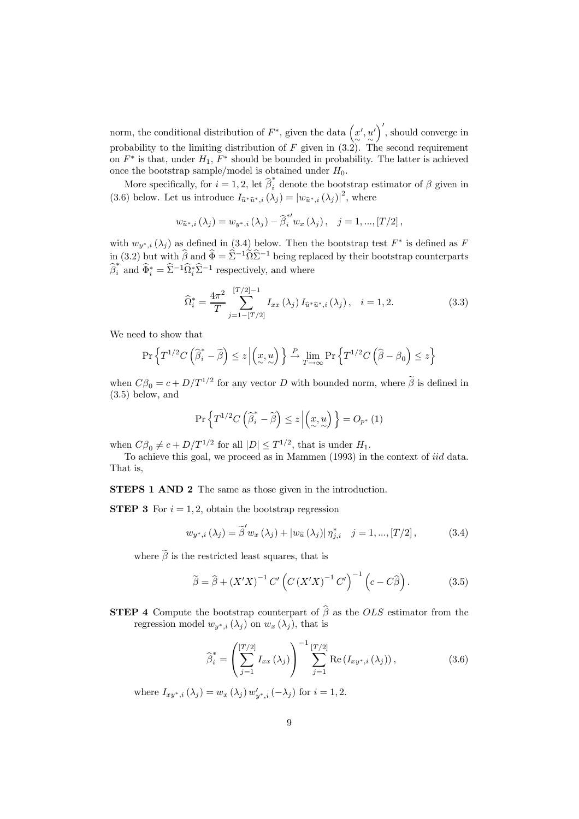norm, the conditional distribution of  $F^*$ , given the data  $(x', u')'$ , should converge in probability to the limiting distribution of F given in  $(3.2)$ . The second requirement on  $F^*$  is that, under  $H_1$ ,  $F^*$  should be bounded in probability. The latter is achieved once the bootstrap sample/model is obtained under  $H_0$ .

More specifically, for  $i = 1, 2$ , let  $\hat{\beta}_i^*$  denote the bootstrap estimator of  $\beta$  given in (3.6) below. Let us introduce  $I_{\hat{u}^*\hat{u}^*,i}(\lambda_j) = |w_{\hat{u}^*,i}(\lambda_j)|^2$ , where

$$
w_{\hat{u}^*,i} (\lambda_j) = w_{y^*,i} (\lambda_j) - \hat{\beta}_i^{*\prime} w_x (\lambda_j), \quad j = 1, ..., [T/2],
$$

with  $w_{y^*,i}(\lambda_j)$  as defined in (3.4) below. Then the bootstrap test  $F^*$  is defined as F in (3.2) but with  $\hat{\beta}$  and  $\hat{\Phi} = \hat{\Sigma}^{-1} \tilde{\Omega} \hat{\Sigma}^{-1}$  being replaced by their bootstrap counterparts  $\hat{\beta}_i^*$  and  $\hat{\Phi}_i^* = \hat{\Sigma}^{-1} \hat{\Omega}_i^* \hat{\Sigma}^{-1}$  respectively, and where

$$
\widehat{\Omega}_{i}^{*} = \frac{4\pi^{2}}{T} \sum_{j=1-\lfloor T/2 \rfloor}^{\lfloor T/2 \rfloor -1} I_{xx}(\lambda_{j}) I_{\widehat{u}^{*}\widehat{u}^{*},i}(\lambda_{j}), \quad i = 1, 2.
$$
 (3.3)

We need to show that

$$
\Pr\left\{T^{1/2}C\left(\widehat{\boldsymbol{\beta}}^*_i - \widetilde{\boldsymbol{\beta}}\right) \le z \left|\left(\underset{\sim}{x}, \underset{\sim}{u}\right)\right.\right\} \xrightarrow{P} \lim_{T \to \infty} \Pr\left\{T^{1/2}C\left(\widehat{\boldsymbol{\beta}} - \beta_0\right) \le z\right\}
$$

when  $C\beta_0 = c + D/T^{1/2}$  for any vector D with bounded norm, where  $\tilde{\beta}$  is defined in (3.5) below, and

$$
\Pr\left\{T^{1/2}C\left(\widehat{\boldsymbol{\beta}}_i^*-\widetilde{\boldsymbol{\beta}}\right)\leq z\left|\left(\underset{\sim}{x},\underset{\sim}{u}\right)\right.\right\}=O_{p^*}\left(1\right)
$$

when  $C\beta_0 \neq c + D/T^{1/2}$  for all  $|D| \leq T^{1/2}$ , that is under  $H_1$ .

To achieve this goal, we proceed as in Mammen (1993) in the context of iid data. That is,

STEPS 1 AND 2 The same as those given in the introduction.

**STEP 3** For  $i = 1, 2$ , obtain the bootstrap regression

$$
w_{y^*,i} (\lambda_j) = \tilde{\beta}' w_x (\lambda_j) + |w_{\hat{u}} (\lambda_j)| \eta^*_{j,i} \quad j = 1, ..., [T/2], \quad (3.4)
$$

where  $\tilde{\beta}$  is the restricted least squares, that is

$$
\widetilde{\beta} = \widehat{\beta} + \left(X'X\right)^{-1} C' \left(C \left(X'X\right)^{-1} C'\right)^{-1} \left(c - C\widehat{\beta}\right). \tag{3.5}
$$

**STEP 4** Compute the bootstrap counterpart of  $\hat{\beta}$  as the OLS estimator from the regression model  $w_{y^*,i}(\lambda_i)$  on  $w_x(\lambda_i)$ , that is

$$
\widehat{\beta}_{i}^{*} = \left(\sum_{j=1}^{[T/2]} I_{xx}(\lambda_{j})\right)^{-1} \sum_{j=1}^{[T/2]} \text{Re}\left(I_{xy^{*},i}(\lambda_{j})\right),\tag{3.6}
$$

where  $I_{xy^*,i} (\lambda_j) = w_x (\lambda_j) w'_{y^*,i} (-\lambda_j)$  for  $i = 1, 2$ .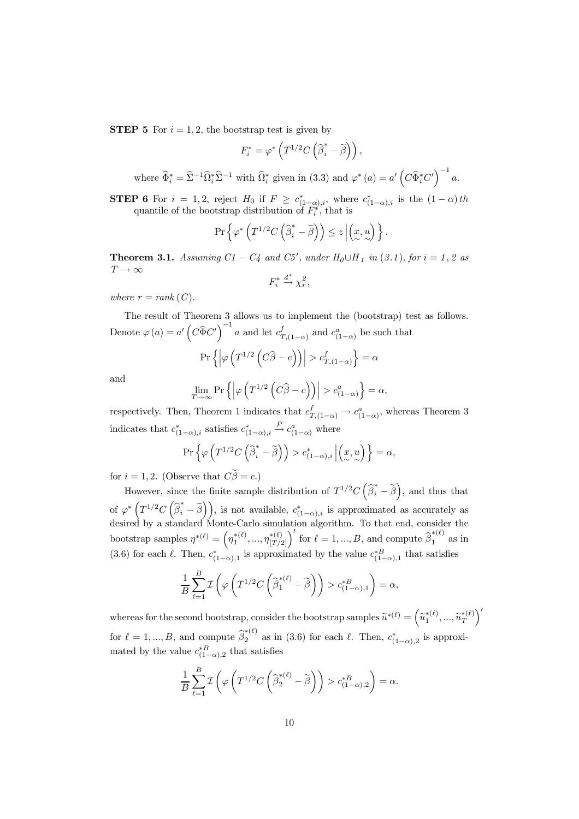**STEP 5** For  $i = 1, 2$ , the bootstrap test is given by

$$
F_i^* = \varphi^* \left( T^{1/2} C \left( \widehat{\beta}_i^* - \widetilde{\beta} \right) \right),
$$

where  $\widehat{\Phi}_i^* = \widehat{\Sigma}^{-1} \widehat{\Omega}_i^* \widehat{\Sigma}^{-1}$  with  $\widehat{\Omega}_i^*$  given in (3.3) and  $\varphi^*(a) = a' \left( C \widehat{\Phi}_i^* C' \right)^{-1} a$ .

**STEP 6** For  $i = 1, 2$ , reject  $H_0$  if  $F \ge c_{(1-\alpha),i}^*$ , where  $c_{(1-\alpha),i}^*$  is the  $(1-\alpha)$ th quantile of the bootstrap distribution of  $F_i^*$ , that is

$$
\Pr\left\{\varphi^*\left(T^{1/2}C\left(\widehat{\beta}_i^*-\widetilde{\beta}\right)\right)\leq z\left|\left(x,u\right)\right.\right\}.
$$

**Theorem 3.1.** Assuming  $C1 - C4$  and  $C5'$ , under  $H_0 \cup H_1$  in  $(3.1)$ , for  $i = 1, 2$  as  $T \to \infty$ 

$$
F_i^* \xrightarrow{d^*} \chi_r^2,
$$

where  $r = rank(C)$ .

The result of Theorem 3 allows us to implement the (bootstrap) test as follows. Denote  $\varphi(a) = a' \left( C \widehat{\Phi} C' \right)^{-1} a$  and let  $c_{T,(1-\alpha)}^f$  and  $c_{(1-\alpha)}^a$  be such that

$$
\Pr\left\{ \left| \varphi\left(T^{1/2}\left(C\widehat{\beta} - c\right)\right) \right| > c_{T,(1-\alpha)}^f \right\} = \alpha
$$

and

$$
\lim_{T \to \infty} \Pr \left\{ \left| \varphi \left( T^{1/2} \left( C \widehat{\beta} - c \right) \right) \right| > c_{(1-\alpha)}^a \right\} = \alpha,
$$

respectively. Then, Theorem 1 indicates that  $c_{T,(1-\alpha)}^f \rightarrow c_{(1-\alpha)}^a$ , whereas Theorem 3 indicates that  $c_{(1-\alpha),i}^*$  satisfies  $c_{(1-\alpha),i}^*$  $\stackrel{P}{\rightarrow} c^a_{(1-\alpha)}$  where

$$
\Pr\left\{\varphi\left(T^{1/2}C\left(\widehat{\beta}_i^*-\widetilde{\beta}\right)\right)>c^*_{(1-\alpha),i}\left|\left(\underset{\sim}{x},\underset{\sim}{u}\right)\right.\right\}=\alpha,
$$

for  $i = 1, 2$ . (Observe that  $C\tilde{\beta} = c$ .)

However, since the finite sample distribution of  $T^{1/2}C(\hat{\beta}_i^*-\tilde{\beta})$ , and thus that of  $\varphi^* \left( T^{1/2} C \left( \widehat{\beta}_i^* - \widetilde{\beta} \right) \right)$ , is not available,  $c_{(1-\alpha),i}^*$  is approximated as accurately as desired by a standard Monte-Carlo simulation algorithm. To that end, consider the bootstrap samples  $\eta^{*(\ell)} = \left(\eta_1^{*(\ell)}, ..., \eta_{[T/2]}^{*(\ell)}\right)'$  for  $\ell = 1, ..., B$ , and compute  $\widehat{\beta}_1^{*(\ell)}$  as in (3.6) for each  $\ell$ . Then,  $c_{(1-\alpha),1}^*$  is approximated by the value  $c_{(1-\alpha),1}^{*B}$  that satisfies

$$
\frac{1}{B} \sum_{\ell=1}^{B} \mathcal{I} \left( \varphi \left( T^{1/2} C \left( \widehat{\beta}^{*(\ell)}_1 - \widetilde{\beta} \right) \right) > c^{*B}_{(1-\alpha),1} \right) = \alpha,
$$

whereas for the second bootstrap, consider the bootstrap samples  $\widetilde{u}^{*(\ell)} = (\widetilde{u}_1^{*(\ell)}, ..., \widetilde{u}_T^{*(\ell)})'$ for  $\ell = 1, ..., B$ , and compute  $\hat{\beta}_2^{*(\ell)}$  as in (3.6) for each  $\ell$ . Then,  $c_{(1-\alpha),2}^*$  is approximated by the value  $c_{(1-\alpha),2}^{*B}$  that satisfies

$$
\frac{1}{B} \sum_{\ell=1}^{B} \mathcal{I} \left( \varphi \left( T^{1/2} C \left( \widehat{\beta}_2^{*(\ell)} - \widetilde{\beta} \right) \right) > c_{(1-\alpha),2}^{*B} \right) = \alpha.
$$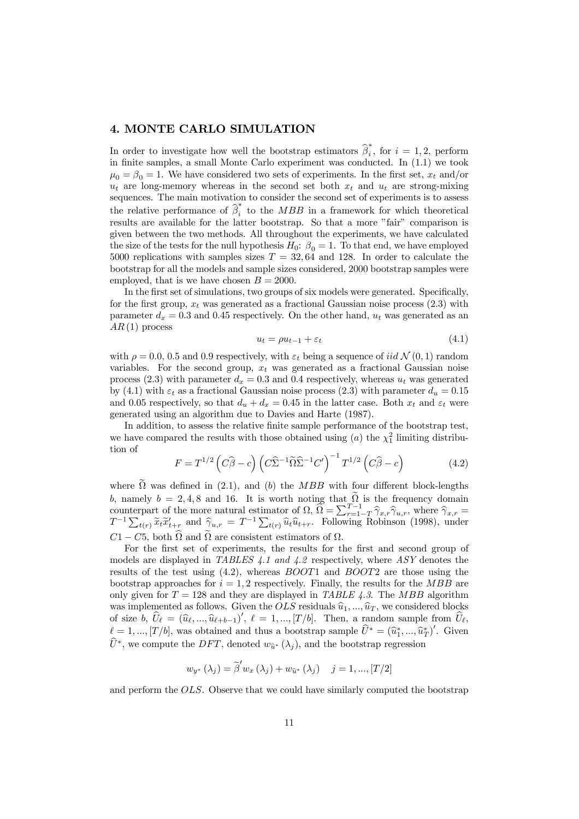## 4. MONTE CARLO SIMULATION

In order to investigate how well the bootstrap estimators  $\hat{\beta}_i^*$ , for  $i = 1, 2$ , perform in finite samples, a small Monte Carlo experiment was conducted. In (1.1) we took  $\mu_0 = \beta_0 = 1$ . We have considered two sets of experiments. In the first set,  $x_t$  and/or  $u_t$  are long-memory whereas in the second set both  $x_t$  and  $u_t$  are strong-mixing sequences. The main motivation to consider the second set of experiments is to assess the relative performance of  $\hat{\beta}_i^*$  to the MBB in a framework for which theoretical results are available for the latter bootstrap. So that a more "fair" comparison is given between the two methods. All throughout the experiments, we have calculated the size of the tests for the null hypothesis  $H_0$ :  $\beta_0 = 1$ . To that end, we have employed 5000 replications with samples sizes  $T = 32,64$  and 128. In order to calculate the bootstrap for all the models and sample sizes considered, 2000 bootstrap samples were employed, that is we have chosen  $B = 2000$ .

In the first set of simulations, two groups of six models were generated. Specifically, for the first group,  $x_t$  was generated as a fractional Gaussian noise process (2.3) with parameter  $d_x = 0.3$  and 0.45 respectively. On the other hand,  $u_t$  was generated as an  $AR(1)$  process

$$
u_t = \rho u_{t-1} + \varepsilon_t \tag{4.1}
$$

with  $\rho = 0.0, 0.5$  and 0.9 respectively, with  $\varepsilon_t$  being a sequence of iid  $\mathcal{N}(0, 1)$  random variables. For the second group,  $x_t$  was generated as a fractional Gaussian noise process (2.3) with parameter  $d_x = 0.3$  and 0.4 respectively, whereas  $u_t$  was generated by (4.1) with  $\varepsilon_t$  as a fractional Gaussian noise process (2.3) with parameter  $d_u = 0.15$ and 0.05 respectively, so that  $d_u + d_x = 0.45$  in the latter case. Both  $x_t$  and  $\varepsilon_t$  were generated using an algorithm due to Davies and Harte (1987).

In addition, to assess the relative finite sample performance of the bootstrap test, we have compared the results with those obtained using  $(a)$  the  $\chi_1^2$  limiting distribution of

$$
F = T^{1/2} \left( C\widehat{\beta} - c \right) \left( C\widehat{\Sigma}^{-1} \widetilde{\Omega} \widehat{\Sigma}^{-1} C' \right)^{-1} T^{1/2} \left( C\widehat{\beta} - c \right)
$$
(4.2)

where  $\Omega$  was defined in (2.1), and (b) the MBB with four different block-lengths b, namely  $b = 2, 4, 8$  and 16. It is worth noting that  $\Omega$  is the frequency domain counterpart of the more natural estimator of  $\Omega$ ,  $\widehat{\Omega} = \sum_{r=1-T}^{T-1} \widehat{\gamma}_{x,r} \widehat{\gamma}_{u,r}$ , where  $\widehat{\gamma}_{x,r} = T^{-1} \sum_{t(r)} \widetilde{x}_t \widetilde{x}'_{t+r}$  and  $\widehat{\gamma}_{u,r} = T^{-1} \sum_{t(r)} \widehat{u}_t \widehat{u}_{t+r}$ . Following Robinson (1998), under  $C1 - C5$ , both  $\Omega$  and  $\Omega$  are consistent estimators of  $\Omega$ .

For the first set of experiments, the results for the first and second group of models are displayed in TABLES 4.1 and 4.2 respectively, where  $ASY$  denotes the results of the test using  $(4.2)$ , whereas *BOOT1* and *BOOT2* are those using the bootstrap approaches for  $i = 1, 2$  respectively. Finally, the results for the MBB are only given for  $T = 128$  and they are displayed in TABLE 4.3. The MBB algorithm was implemented as follows. Given the  $OLS$  residuals  $\hat{u}_1, ..., \hat{u}_T$ , we considered blocks of size b,  $U_{\ell} = (\hat{u}_{\ell}, ..., \hat{u}_{\ell+b-1})', \ell = 1, ..., [T/b].$  Then, a random sample from  $U_{\ell}$ ,  $\ell = 1, ..., [T/b],$  was obtained and thus a bootstrap sample  $U^* = (\hat{u}_1^*, ..., \hat{u}_T^*)'$ . Given  $\hat{U}^*$ , we compute the DFT, denoted  $w_{\hat{u}^*}(\lambda_i)$ , and the bootstrap regression

$$
w_{y^*} (\lambda_j) = \widetilde{\beta}' w_x (\lambda_j) + w_{\widehat{u}^*} (\lambda_j) \quad j = 1, ..., [T/2]
$$

and perform the OLS. Observe that we could have similarly computed the bootstrap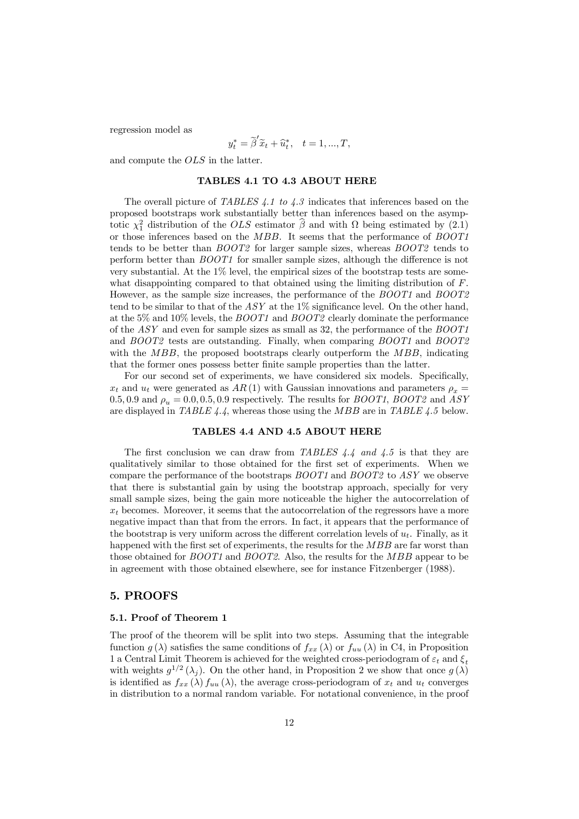regression model as

$$
y_t^* = \widetilde{\beta}'\widetilde{x}_t + \widehat{u}_t^*, \quad t = 1, ..., T,
$$

and compute the OLS in the latter.

#### TABLES 4.1 TO 4.3 ABOUT HERE

The overall picture of TABLES 4.1 to 4.3 indicates that inferences based on the proposed bootstraps work substantially better than inferences based on the asymptotic  $\chi^2_1$  distribution of the *OLS* estimator  $\hat{\beta}$  and with  $\Omega$  being estimated by (2.1) or those inferences based on the MBB. It seems that the performance of BOOT1 tends to be better than BOOT2 for larger sample sizes, whereas BOOT2 tends to perform better than BOOT1 for smaller sample sizes, although the difference is not very substantial. At the 1% level, the empirical sizes of the bootstrap tests are somewhat disappointing compared to that obtained using the limiting distribution of F. However, as the sample size increases, the performance of the  $BOOT1$  and  $BOOT2$ tend to be similar to that of the  $ASY$  at the  $1\%$  significance level. On the other hand, at the 5% and 10% levels, the  $BOOT1$  and  $BOOT2$  clearly dominate the performance of the ASY and even for sample sizes as small as 32, the performance of the BOOT1 and BOOT2 tests are outstanding. Finally, when comparing BOOT1 and BOOT2 with the  $MBB$ , the proposed bootstraps clearly outperform the  $MBB$ , indicating that the former ones possess better finite sample properties than the latter.

For our second set of experiments, we have considered six models. Specifically,  $x_t$  and  $u_t$  were generated as  $AR(1)$  with Gaussian innovations and parameters  $\rho_x =$ 0.5, 0.9 and  $\rho_u = 0.0, 0.5, 0.9$  respectively. The results for BOOT1, BOOT2 and ASY are displayed in TABLE  $4.4$ , whereas those using the MBB are in TABLE  $4.5$  below.

#### TABLES 4.4 AND 4.5 ABOUT HERE

The first conclusion we can draw from TABLES 4.4 and 4.5 is that they are qualitatively similar to those obtained for the first set of experiments. When we compare the performance of the bootstraps BOOT1 and BOOT2 to ASY we observe that there is substantial gain by using the bootstrap approach, specially for very small sample sizes, being the gain more noticeable the higher the autocorrelation of  $x_t$  becomes. Moreover, it seems that the autocorrelation of the regressors have a more negative impact than that from the errors. In fact, it appears that the performance of the bootstrap is very uniform across the different correlation levels of  $u_t$ . Finally, as it happened with the first set of experiments, the results for the *MBB* are far worst than those obtained for BOOT1 and BOOT2. Also, the results for the MBB appear to be in agreement with those obtained elsewhere, see for instance Fitzenberger (1988).

#### 5. PROOFS

#### 5.1. Proof of Theorem 1

The proof of the theorem will be split into two steps. Assuming that the integrable function g( $\lambda$ ) satisfies the same conditions of  $f_{xx}(\lambda)$  or  $f_{uu}(\lambda)$  in C4, in Proposition 1 a Central Limit Theorem is achieved for the weighted cross-periodogram of  $\varepsilon_t$  and  $\xi_t$ with weights  $g^{1/2}(\lambda_i)$ . On the other hand, in Proposition 2 we show that once  $g(\lambda)$ is identified as  $f_{xx}(\lambda) f_{uu}(\lambda)$ , the average cross-periodogram of  $x_t$  and  $u_t$  converges in distribution to a normal random variable. For notational convenience, in the proof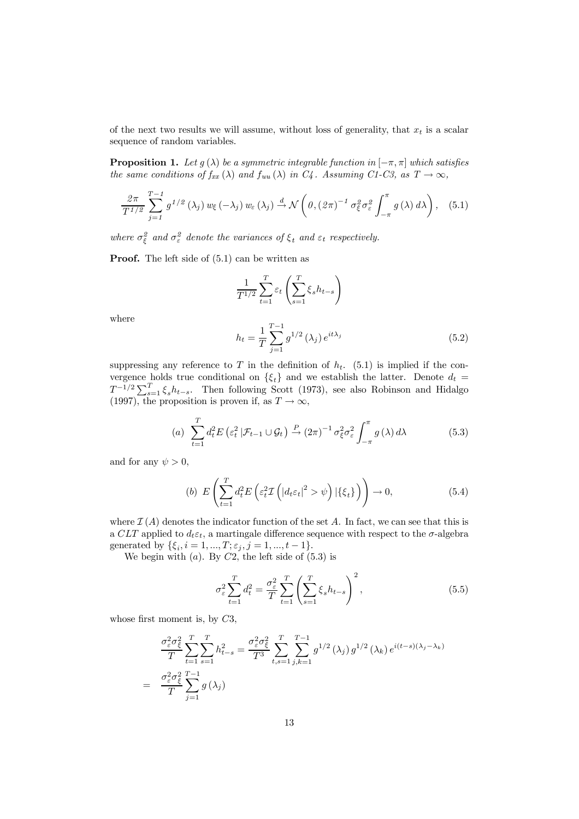of the next two results we will assume, without loss of generality, that  $x_t$  is a scalar sequence of random variables.

**Proposition 1.** Let  $q(\lambda)$  be a symmetric integrable function in  $[-\pi, \pi]$  which satisfies the same conditions of  $f_{xx}(\lambda)$  and  $f_{uu}(\lambda)$  in  $C_4$ . Assuming C1-C3, as  $T \to \infty$ ,

$$
\frac{2\pi}{T^{1/2}}\sum_{j=1}^{T-1}g^{1/2}\left(\lambda_j\right)w_{\xi}\left(-\lambda_j\right)w_{\varepsilon}\left(\lambda_j\right)\stackrel{d}{\to}\mathcal{N}\left(\theta,\left(2\pi\right)^{-1}\sigma_{\xi}^2\sigma_{\varepsilon}^2\int_{-\pi}^{\pi}g\left(\lambda\right)d\lambda\right),\quad(5.1)
$$

where  $\sigma_{\xi}^{2}$  and  $\sigma_{\varepsilon}^{2}$  denote the variances of  $\xi_{t}$  and  $\varepsilon_{t}$  respectively.

Proof. The left side of (5.1) can be written as

$$
\frac{1}{T^{1/2}}\sum_{t=1}^T \varepsilon_t \left(\sum_{s=1}^T \xi_s h_{t-s}\right)
$$

where

$$
h_t = \frac{1}{T} \sum_{j=1}^{T-1} g^{1/2} (\lambda_j) e^{it\lambda_j}
$$
 (5.2)

suppressing any reference to T in the definition of  $h_t$ . (5.1) is implied if the convergence holds true conditional on  $\{\xi_t\}$  and we establish the latter. Denote  $d_t =$  $T^{-1/2}\sum_{s=1}^{T} \xi_s h_{t-s}$ . Then following Scott (1973), see also Robinson and Hidalgo (1997), the proposition is proven if, as  $T \to \infty$ ,

(a) 
$$
\sum_{t=1}^{T} d_t^2 E \left(\varepsilon_t^2 \left| \mathcal{F}_{t-1} \cup \mathcal{G}_t \right.\right) \xrightarrow{P} (2\pi)^{-1} \sigma_\xi^2 \sigma_\varepsilon^2 \int_{-\pi}^{\pi} g(\lambda) d\lambda
$$
 (5.3)

and for any  $\psi > 0$ ,

(b) 
$$
E\left(\sum_{t=1}^{T} d_t^2 E\left(\varepsilon_t^2 \mathcal{I}\left(\left|d_t \varepsilon_t\right|^2 > \psi\right) \left|\{\xi_t\}\right.\right)\right) \to 0,
$$
 (5.4)

where  $\mathcal{I}(A)$  denotes the indicator function of the set A. In fact, we can see that this is a CLT applied to  $d_t \varepsilon_t$ , a martingale difference sequence with respect to the  $\sigma$ -algebra generated by  $\{\xi_i, i = 1, ..., T; \varepsilon_j, j = 1, ..., t - 1\}.$ 

We begin with  $(a)$ . By  $C2$ , the left side of  $(5.3)$  is

$$
\sigma_{\varepsilon}^{2} \sum_{t=1}^{T} d_{t}^{2} = \frac{\sigma_{\varepsilon}^{2}}{T} \sum_{t=1}^{T} \left( \sum_{s=1}^{T} \xi_{s} h_{t-s} \right)^{2}, \qquad (5.5)
$$

whose first moment is, by C3,

$$
\frac{\sigma_{\varepsilon}^{2} \sigma_{\xi}^{2}}{T} \sum_{t=1}^{T} \sum_{s=1}^{T} h_{t-s}^{2} = \frac{\sigma_{\varepsilon}^{2} \sigma_{\xi}^{2}}{T^{3}} \sum_{t,s=1}^{T} \sum_{j,k=1}^{T-1} g^{1/2} (\lambda_{j}) g^{1/2} (\lambda_{k}) e^{i(t-s)(\lambda_{j}-\lambda_{k})}
$$
\n
$$
= \frac{\sigma_{\varepsilon}^{2} \sigma_{\xi}^{2}}{T} \sum_{j=1}^{T-1} g (\lambda_{j})
$$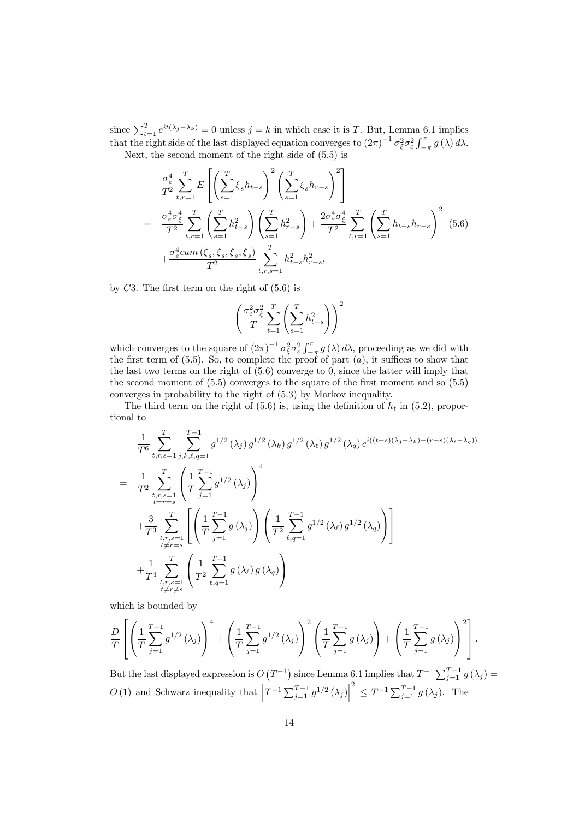since  $\sum_{t=1}^{T} e^{it(\lambda_j-\lambda_k)} = 0$  unless  $j = k$  in which case it is T. But, Lemma 6.1 implies that the right side of the last displayed equation converges to  $(2\pi)^{-1} \sigma_{\xi}^2 \sigma_{\epsilon}^2 \int_{-\pi}^{\pi} g(\lambda) d\lambda$ . Next, the second moment of the right side of (5.5) is

$$
\frac{\sigma_{\varepsilon}^{4}}{T^{2}} \sum_{t,r=1}^{T} E\left[\left(\sum_{s=1}^{T} \xi_{s} h_{t-s}\right)^{2} \left(\sum_{s=1}^{T} \xi_{s} h_{r-s}\right)^{2}\right]
$$
\n
$$
= \frac{\sigma_{\varepsilon}^{4} \sigma_{\xi}^{4}}{T^{2}} \sum_{t,r=1}^{T} \left(\sum_{s=1}^{T} h_{t-s}^{2}\right) \left(\sum_{s=1}^{T} h_{r-s}^{2}\right) + \frac{2\sigma_{\varepsilon}^{4} \sigma_{\xi}^{4}}{T^{2}} \sum_{t,r=1}^{T} \left(\sum_{s=1}^{T} h_{t-s} h_{r-s}\right)^{2} (5.6)
$$
\n
$$
+ \frac{\sigma_{\varepsilon}^{4} cum\left(\xi_{s}, \xi_{s}, \xi_{s}, \xi_{s}\right)}{T^{2}} \sum_{t,r,s=1}^{T} h_{t-s}^{2} h_{r-s}^{2},
$$

by  $C3$ . The first term on the right of  $(5.6)$  is

$$
\left(\frac{\sigma_{\varepsilon}^2 \sigma_{\xi}^2}{T} \sum_{t=1}^T \left( \sum_{s=1}^T h_{t-s}^2 \right) \right)^2
$$

which converges to the square of  $(2\pi)^{-1} \sigma_{\xi}^2 \sigma_{\varepsilon}^2 \int_{-\pi}^{\pi} g(\lambda) d\lambda$ , proceeding as we did with the first term of (5.5). So, to complete the proof of part  $(a)$ , it suffices to show that the last two terms on the right of (5.6) converge to 0, since the latter will imply that the second moment of  $(5.5)$  converges to the square of the first moment and so  $(5.5)$ converges in probability to the right of (5.3) by Markov inequality.

The third term on the right of (5.6) is, using the definition of  $h_t$  in (5.2), proportional to

$$
\frac{1}{T^6} \sum_{t,r,s=1}^T \sum_{j,k,\ell,q=1}^{T-1} g^{1/2}(\lambda_j) g^{1/2}(\lambda_k) g^{1/2}(\lambda_\ell) g^{1/2}(\lambda_q) e^{i((t-s)(\lambda_j - \lambda_k) - (r-s)(\lambda_\ell - \lambda_q))}
$$
\n
$$
= \frac{1}{T^2} \sum_{\substack{t,r,s=1 \\ t=r=s}}^T \left( \frac{1}{T} \sum_{j=1}^{T-1} g^{1/2}(\lambda_j) \right)^4
$$
\n
$$
+ \frac{3}{T^3} \sum_{\substack{t,r,s=1 \\ t \neq r=s}}^T \left[ \left( \frac{1}{T} \sum_{j=1}^{T-1} g(\lambda_j) \right) \left( \frac{1}{T^2} \sum_{\ell,q=1}^{T-1} g^{1/2}(\lambda_\ell) g^{1/2}(\lambda_q) \right) \right]
$$
\n
$$
+ \frac{1}{T^4} \sum_{\substack{t,r,s=1 \\ t \neq r \neq s}}^T \left( \frac{1}{T^2} \sum_{\ell,q=1}^{T-1} g(\lambda_\ell) g(\lambda_q) \right)
$$

which is bounded by

$$
\frac{D}{T} \left[ \left( \frac{1}{T} \sum_{j=1}^{T-1} g^{1/2} (\lambda_j) \right)^4 + \left( \frac{1}{T} \sum_{j=1}^{T-1} g^{1/2} (\lambda_j) \right)^2 \left( \frac{1}{T} \sum_{j=1}^{T-1} g (\lambda_j) \right) + \left( \frac{1}{T} \sum_{j=1}^{T-1} g (\lambda_j) \right)^2 \right].
$$

But the last displayed expression is  $O(T^{-1})$  since Lemma 6.1 implies that  $T^{-1}\sum_{j=1}^{T-1} g(\lambda_j) =$ O(1) and Schwarz inequality that  $\left|T^{-1}\sum_{j=1}^{T-1}g^{1/2}\left(\lambda_j\right)\right|$  $\sum_{j=1}^{2} g(\lambda_j)$ . The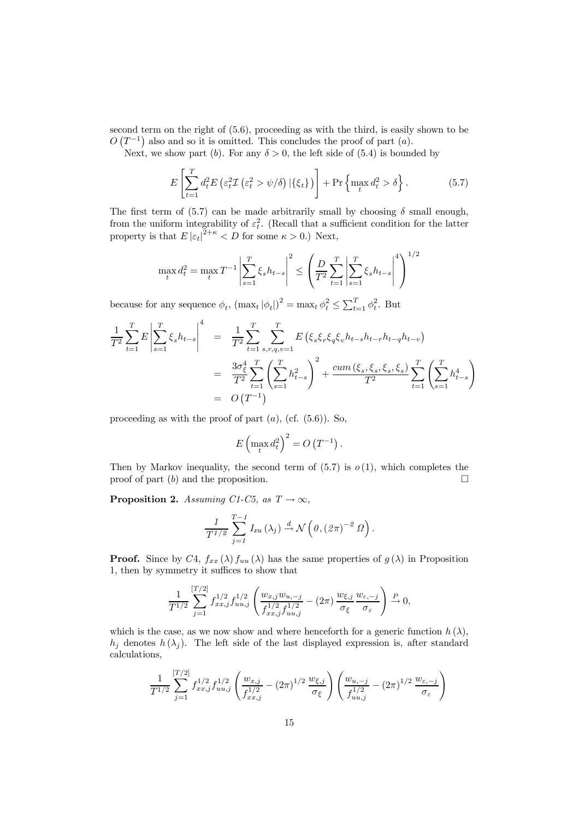second term on the right of (5.6), proceeding as with the third, is easily shown to be  $O(T^{-1})$  also and so it is omitted. This concludes the proof of part  $(a)$ .

Next, we show part (b). For any  $\delta > 0$ , the left side of (5.4) is bounded by

$$
E\left[\sum_{t=1}^{T} d_t^2 E\left(\varepsilon_t^2 \mathcal{I}\left(\varepsilon_t^2 > \psi/\delta\right) | \{\xi_t\}\right)\right] + \Pr\left\{\max_t d_t^2 > \delta\right\}.
$$
 (5.7)

The first term of (5.7) can be made arbitrarily small by choosing  $\delta$  small enough, from the uniform integrability of  $\varepsilon_t^2$ . (Recall that a sufficient condition for the latter property is that  $E |\varepsilon_t|^{2+\kappa} < D$  for some  $\kappa > 0$ .) Next,

$$
\max_{t} d_t^2 = \max_{t} T^{-1} \left| \sum_{s=1}^{T} \xi_s h_{t-s} \right|^2 \le \left( \frac{D}{T^2} \sum_{t=1}^{T} \left| \sum_{s=1}^{T} \xi_s h_{t-s} \right|^4 \right)^{1/2}
$$

because for any sequence  $\phi_t$ ,  $(\max_t |\phi_t|)^2 = \max_t \phi_t^2 \le \sum_{t=1}^T \phi_t^2$ . But

$$
\frac{1}{T^2} \sum_{t=1}^T E \left| \sum_{s=1}^T \xi_s h_{t-s} \right|^4 = \frac{1}{T^2} \sum_{t=1}^T \sum_{s,r,q,v=1}^T E \left( \xi_s \xi_r \xi_q \xi_v h_{t-s} h_{t-r} h_{t-q} h_{t-v} \right)
$$
\n
$$
= \frac{3\sigma_{\xi}^4}{T^2} \sum_{t=1}^T \left( \sum_{s=1}^T h_{t-s}^2 \right)^2 + \frac{cum \left( \xi_s, \xi_s, \xi_s, \xi_s \right)}{T^2} \sum_{t=1}^T \left( \sum_{s=1}^T h_{t-s}^4 \right)
$$
\n
$$
= O\left( T^{-1} \right)
$$

proceeding as with the proof of part  $(a)$ ,  $(cf. (5.6))$ . So,

$$
E\left(\max_t d_t^2\right)^2 = O\left(T^{-1}\right).
$$

Then by Markov inequality, the second term of  $(5.7)$  is  $o(1)$ , which completes the proof of part  $(b)$  and the proposition.

**Proposition 2.** Assuming C1-C5, as  $T \rightarrow \infty$ ,

$$
\frac{1}{T^{1/2}}\sum_{j=1}^{T-1}I_{xu}(\lambda_j)\stackrel{d}{\rightarrow}\mathcal{N}\left(\theta,(2\pi)^{-2} \Omega\right).
$$

**Proof.** Since by C4,  $f_{xx}(\lambda) f_{uu}(\lambda)$  has the same properties of  $g(\lambda)$  in Proposition 1, then by symmetry it suffices to show that

$$
\frac{1}{T^{1/2}} \sum_{j=1}^{[T/2]} f_{xx,j}^{1/2} f_{uu,j}^{1/2} \left( \frac{w_{x,j} w_{u,-j}}{f_{xx,j}^{1/2} f_{uu,j}^{1/2}} - (2\pi) \frac{w_{\xi,j}}{\sigma_{\xi}} \frac{w_{\varepsilon,-j}}{\sigma_{\varepsilon}} \right) \xrightarrow{P} 0,
$$

which is the case, as we now show and where henceforth for a generic function  $h(\lambda)$ ,  $h_i$  denotes  $h(\lambda_i)$ . The left side of the last displayed expression is, after standard calculations,

$$
\frac{1}{T^{1/2}} \sum_{j=1}^{[T/2]} f_{xx,j}^{1/2} f_{uu,j}^{1/2} \left( \frac{w_{x,j}}{f_{xx,j}^{1/2}} - (2\pi)^{1/2} \frac{w_{\xi,j}}{\sigma_{\xi}} \right) \left( \frac{w_{u,-j}}{f_{uu,j}^{1/2}} - (2\pi)^{1/2} \frac{w_{\varepsilon,-j}}{\sigma_{\varepsilon}} \right)
$$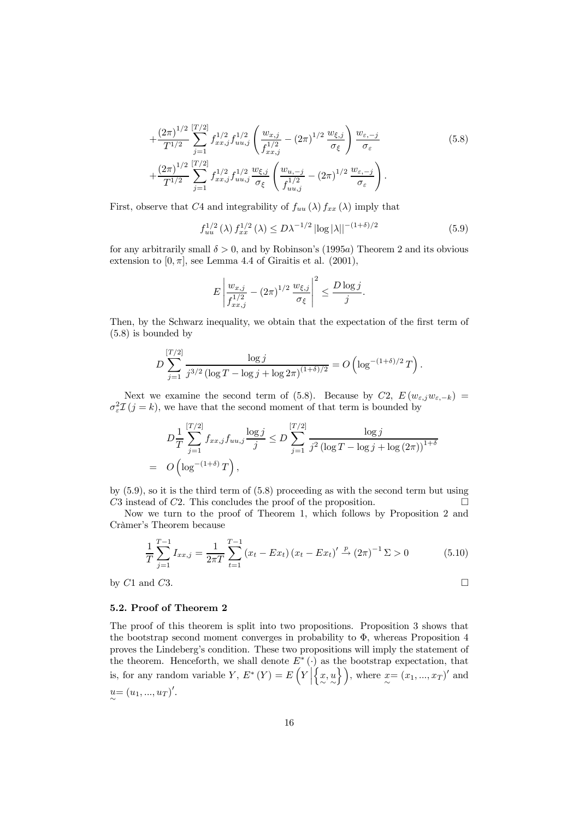$$
+\frac{(2\pi)^{1/2}}{T^{1/2}}\sum_{j=1}^{[T/2]}f_{xx,j}^{1/2}f_{uu,j}^{1/2}\left(\frac{w_{x,j}}{f_{xx,j}^{1/2}}-(2\pi)^{1/2}\frac{w_{\xi,j}}{\sigma_{\xi}}\right)\frac{w_{\varepsilon,-j}}{\sigma_{\varepsilon}}
$$
(5.8)  
 
$$
+\frac{(2\pi)^{1/2}}{T^{1/2}}\sum_{j=1}^{[T/2]}f_{xx,j}^{1/2}f_{uu,j}^{1/2}\frac{w_{\xi,j}}{\sigma_{\xi}}\left(\frac{w_{u,-j}}{f_{uu,j}^{1/2}}-(2\pi)^{1/2}\frac{w_{\varepsilon,-j}}{\sigma_{\varepsilon}}\right).
$$

First, observe that C4 and integrability of  $f_{uu}(\lambda) f_{xx}(\lambda)$  imply that

$$
f_{uu}^{1/2}(\lambda) f_{xx}^{1/2}(\lambda) \le D\lambda^{-1/2} |\log|\lambda||^{-(1+\delta)/2}
$$
 (5.9)

for any arbitrarily small  $\delta > 0$ , and by Robinson's (1995a) Theorem 2 and its obvious extension to  $[0, \pi]$ , see Lemma 4.4 of Giraitis et al. (2001),

$$
E\left|\frac{w_{x,j}}{f_{xx,j}^{1/2}} - (2\pi)^{1/2} \frac{w_{\xi,j}}{\sigma_{\xi}}\right|^2 \le \frac{D\log j}{j}.
$$

Then, by the Schwarz inequality, we obtain that the expectation of the first term of (5.8) is bounded by

$$
D\sum_{j=1}^{[T/2]} \frac{\log j}{j^{3/2} (\log T - \log j + \log 2\pi)^{(1+\delta)/2}} = O\left(\log^{-(1+\delta)/2} T\right).
$$

Next we examine the second term of (5.8). Because by C2,  $E(w_{\varepsilon,j}w_{\varepsilon,-k})$  $\sigma_{\varepsilon}^2 \mathcal{I}(j = k)$ , we have that the second moment of that term is bounded by

$$
D\frac{1}{T} \sum_{j=1}^{[T/2]} f_{xx,j} f_{uu,j} \frac{\log j}{j} \le D \sum_{j=1}^{[T/2]} \frac{\log j}{j^2 (\log T - \log j + \log (2\pi))^{1+\delta}}
$$
  
=  $O\left(\log^{-(1+\delta)} T\right)$ ,

by (5.9), so it is the third term of (5.8) proceeding as with the second term but using C3 instead of C2. This concludes the proof of the proposition.  $\Box$ 

Now we turn to the proof of Theorem 1, which follows by Proposition 2 and Cràmer's Theorem because

$$
\frac{1}{T} \sum_{j=1}^{T-1} I_{xx,j} = \frac{1}{2\pi T} \sum_{t=1}^{T-1} \left( x_t - E x_t \right) \left( x_t - E x_t \right)' \xrightarrow{p} \left( 2\pi \right)^{-1} \Sigma > 0 \tag{5.10}
$$

by  $C1$  and  $C3$ .

#### 5.2. Proof of Theorem 2

The proof of this theorem is split into two propositions. Proposition 3 shows that the bootstrap second moment converges in probability to  $\Phi$ , whereas Proposition 4 proves the Lindeberg's condition. These two propositions will imply the statement of the theorem. Henceforth, we shall denote  $E^*$  ( $\cdot$ ) as the bootstrap expectation, that is, for any random variable Y,  $E^*(Y) = E(Y)$  $\left\{ \begin{matrix} x, u \\ \sim \sim \end{matrix} \right\}$ , where  $x = (x_1, ..., x_T)'$  and  $u = (u_1, ..., u_T)'.$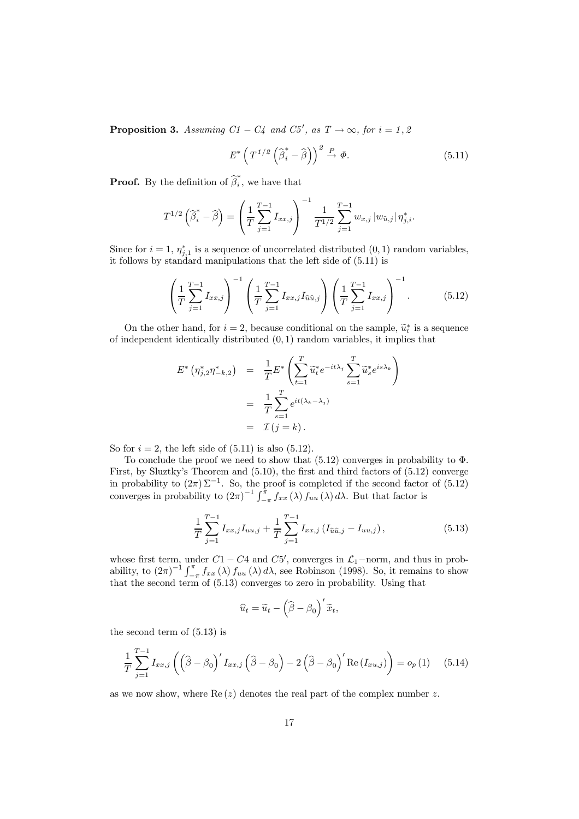**Proposition 3.** Assuming  $C1 - C4$  and  $C5'$ , as  $T \rightarrow \infty$ , for  $i = 1, 2$ 

$$
E^* \left( T^{1/2} \left( \widehat{\beta}_i^* - \widehat{\beta} \right) \right)^2 \xrightarrow{P} \Phi. \tag{5.11}
$$

**Proof.** By the definition of  $\widehat{\beta}_i^*$ , we have that

$$
T^{1/2} \left( \widehat{\beta}_{i}^{*} - \widehat{\beta} \right) = \left( \frac{1}{T} \sum_{j=1}^{T-1} I_{xx,j} \right)^{-1} \frac{1}{T^{1/2}} \sum_{j=1}^{T-1} w_{x,j} \left| w_{\widehat{u},j} \right| \eta_{j,i}^{*}.
$$

Since for  $i = 1$ ,  $\eta_{j,1}^*$  is a sequence of uncorrelated distributed  $(0, 1)$  random variables, it follows by standard manipulations that the left side of (5.11) is

$$
\left(\frac{1}{T}\sum_{j=1}^{T-1}I_{xx,j}\right)^{-1}\left(\frac{1}{T}\sum_{j=1}^{T-1}I_{xx,j}I_{\hat{u}\hat{u},j}\right)\left(\frac{1}{T}\sum_{j=1}^{T-1}I_{xx,j}\right)^{-1}.\tag{5.12}
$$

On the other hand, for  $i = 2$ , because conditional on the sample,  $\tilde{u}_t^*$  is a sequence of independent identically distributed (0, 1) random variables, it implies that

$$
E^* \left( \eta_{j,2}^* \eta_{-k,2}^* \right) = \frac{1}{T} E^* \left( \sum_{t=1}^T \widetilde{u}_t^* e^{-it\lambda_j} \sum_{s=1}^T \widetilde{u}_s^* e^{is\lambda_k} \right)
$$
  

$$
= \frac{1}{T} \sum_{s=1}^T e^{it(\lambda_k - \lambda_j)}
$$
  

$$
= \mathcal{I}(j = k).
$$

So for  $i = 2$ , the left side of  $(5.11)$  is also  $(5.12)$ .

To conclude the proof we need to show that  $(5.12)$  converges in probability to  $\Phi$ . First, by Sluztky's Theorem and (5.10), the first and third factors of (5.12) converge in probability to  $(2\pi)\Sigma^{-1}$ . So, the proof is completed if the second factor of  $(5.12)$ converges in probability to  $(2\pi)^{-1} \int_{-\pi}^{\pi} f_{xx}(\lambda) f_{uu}(\lambda) d\lambda$ . But that factor is

$$
\frac{1}{T} \sum_{j=1}^{T-1} I_{xx,j} I_{uu,j} + \frac{1}{T} \sum_{j=1}^{T-1} I_{xx,j} \left( I_{\hat{u}\hat{u},j} - I_{uu,j} \right), \tag{5.13}
$$

whose first term, under  $C1 - C4$  and  $C5'$ , converges in  $\mathcal{L}_1$ –norm, and thus in probability, to  $(2\pi)^{-1} \int_{-\pi}^{\pi} f_{xx}(\lambda) f_{uu}(\lambda) d\lambda$ , see Robinson (1998). So, it remains to show that the second term of (5.13) converges to zero in probability. Using that

$$
\widehat{u}_t = \widetilde{u}_t - \left(\widehat{\beta} - \beta_0\right)'\widetilde{x}_t,
$$

the second term of (5.13) is

$$
\frac{1}{T} \sum_{j=1}^{T-1} I_{xx,j} \left( \left( \widehat{\beta} - \beta_0 \right)' I_{xx,j} \left( \widehat{\beta} - \beta_0 \right) - 2 \left( \widehat{\beta} - \beta_0 \right)' \text{Re}(I_{xu,j}) \right) = o_p(1) \quad (5.14)
$$

as we now show, where  $\text{Re}(z)$  denotes the real part of the complex number z.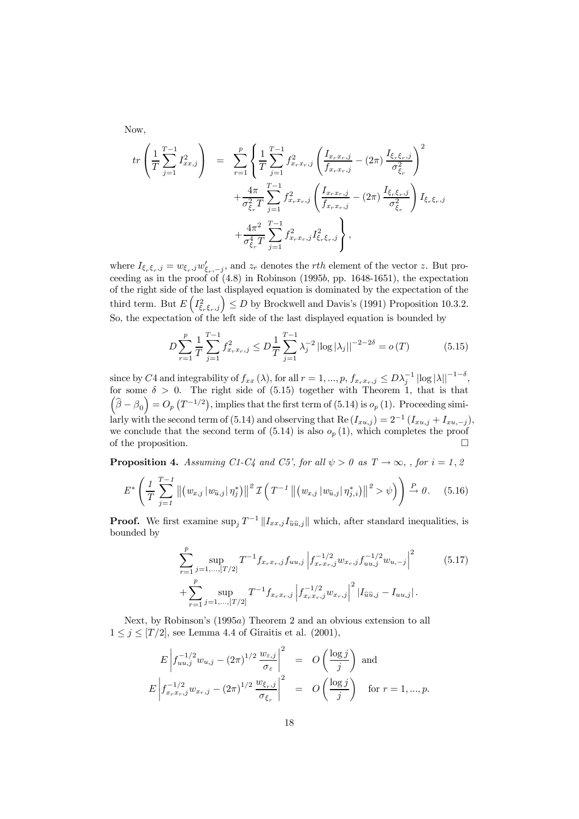Now,

$$
tr\left(\frac{1}{T}\sum_{j=1}^{T-1}I_{xx,j}^{2}\right) = \sum_{r=1}^{p} \left\{\frac{1}{T}\sum_{j=1}^{T-1}f_{x_{r}x_{r},j}^{2}\left(\frac{I_{x_{r}x_{r},j}}{f_{x_{r}x_{r},j}}-(2\pi)\frac{I_{\xi_{r}\xi_{r},j}}{\sigma_{\xi_{r}}^{2}}\right)^{2} + \frac{4\pi}{\sigma_{\xi_{r}}^{2}T}\sum_{j=1}^{T-1}f_{x_{r}x_{r},j}^{2}\left(\frac{I_{x_{r}x_{r},j}}{f_{x_{r}x_{r},j}}-(2\pi)\frac{I_{\xi_{r}\xi_{r},j}}{\sigma_{\xi_{r}}^{2}}\right)I_{\xi_{r}\xi_{r},j} + \frac{4\pi^{2}}{\sigma_{\xi_{r}}^{4}T}\sum_{j=1}^{T-1}f_{x_{r}x_{r},j}^{2}I_{\xi_{r}\xi_{r},j}^{2},
$$

where  $I_{\xi_r\xi_r,j} = w_{\xi_r,j}w'_{\xi_r,-j}$ , and  $z_r$  denotes the *rth* element of the vector z. But proceeding as in the proof of  $(4.8)$  in Robinson  $(1995b, pp. 1648-1651)$ , the expectation of the right side of the last displayed equation is dominated by the expectation of the third term. But  $E\left(I_{\xi,\xi_r,j}^2\right) \leq D$  by Brockwell and Davis's (1991) Proposition 10.3.2. So, the expectation of the left side of the last displayed equation is bounded by

$$
D\sum_{r=1}^{p} \frac{1}{T} \sum_{j=1}^{T-1} f_{x_r x_r, j}^2 \le D \frac{1}{T} \sum_{j=1}^{T-1} \lambda_j^{-2} \left| \log |\lambda_j| \right|^{-2-2\delta} = o(T) \tag{5.15}
$$

since by C4 and integrability of  $f_{xx}(\lambda)$ , for all  $r = 1, ..., p$ ,  $f_{x_rx_r,j} \leq D\lambda_j^{-1} |\log |\lambda||^{-1-\delta}$ , for some  $\delta > 0$ . The right side of  $(5.15)$  together with Theorem 1, that is that  $\left(\widehat{\beta}-\beta_0\right)=O_p\left(T^{-1/2}\right)$ , implies that the first term of (5.14) is  $o_p(1)$ . Proceeding similarly with the second term of (5.14) and observing that Re  $(I_{xu,j})=2^{-1} (I_{xu,j}+I_{xu,-j}),$ we conclude that the second term of  $(5.14)$  is also  $o_p(1)$ , which completes the proof of the proposition.

**Proposition 4.** Assuming C1-C4 and C5', for all  $\psi > 0$  as  $T \rightarrow \infty$ , , for  $i = 1, 2$ 

$$
E^* \left( \frac{1}{T} \sum_{j=1}^{T-1} \left\| \left( w_{x,j} \left| w_{\hat{u},j} \right| \eta_j^* \right) \right\|^2 \mathcal{I} \left( T^{-1} \left\| \left( w_{x,j} \left| w_{\hat{u},j} \right| \eta_{j,i}^* \right) \right\|^2 > \psi \right) \right) \xrightarrow{P} 0. \quad (5.16)
$$

**Proof.** We first examine  $\sup_i T^{-1} || I_{xx,j} I_{\hat{u}\hat{u},j} ||$  which, after standard inequalities, is bounded by

$$
\sum_{r=1}^{p} \sup_{j=1,\ldots,[T/2]} T^{-1} f_{x_rx_r,j} f_{uu,j} \left| f_{x_rx_r,j}^{-1/2} w_{x_r,j} f_{uu,j}^{-1/2} w_{u,-j} \right|^2 \qquad (5.17)
$$

$$
+ \sum_{r=1}^{p} \sup_{j=1,\ldots,[T/2]} T^{-1} f_{x_rx_r,j} \left| f_{x_rx_r,j}^{-1/2} w_{x_r,j} \right|^2 \left| I_{\hat{u}\hat{u},j} - I_{uu,j} \right|.
$$

Next, by Robinson's (1995a) Theorem 2 and an obvious extension to all  $1 \leq j \leq [T/2]$ , see Lemma 4.4 of Giraitis et al. (2001),

$$
E\left|f_{uu,j}^{-1/2}w_{u,j} - (2\pi)^{1/2}\frac{w_{\varepsilon,j}}{\sigma_{\varepsilon}}\right|^2 = O\left(\frac{\log j}{j}\right) \text{ and}
$$
  

$$
E\left|f_{x_rx_ri}^{-1/2}w_{x_r,j} - (2\pi)^{1/2}\frac{w_{\varepsilon,rj}}{\sigma_{\varepsilon_r}}\right|^2 = O\left(\frac{\log j}{j}\right) \text{ for } r = 1,...,p.
$$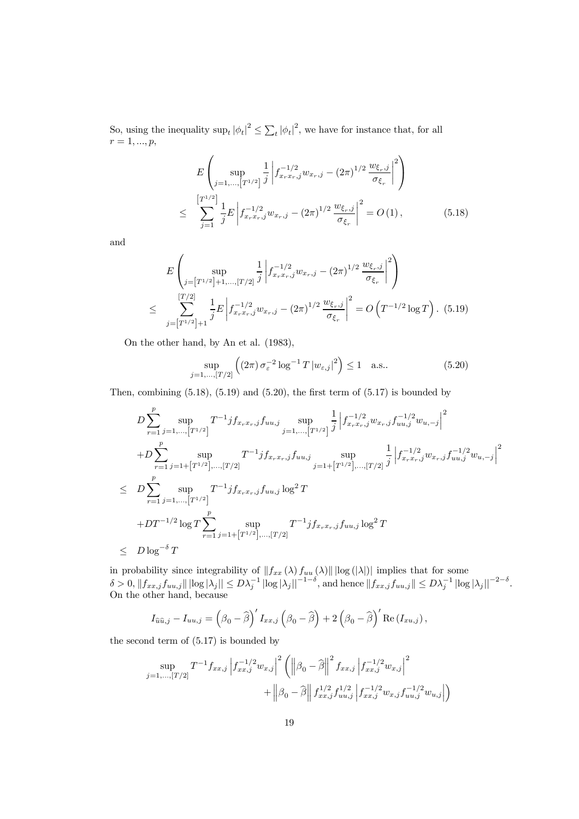So, using the inequality  $\sup_t |\phi_t|^2 \leq \sum_t |\phi_t|^2$ , we have for instance that, for all  $r = 1, ..., p,$ 

$$
E\left(\sup_{j=1,\dots,\lfloor T^{1/2}\rfloor} \frac{1}{j} \left| f_{x_rx_r,j}^{-1/2} w_{x_r,j} - (2\pi)^{1/2} \frac{w_{\xi_r,j}}{\sigma_{\xi_r}} \right|^2 \right)
$$
  

$$
\leq \sum_{j=1}^{\lfloor T^{1/2} \rfloor} \frac{1}{j} E\left| f_{x_rx_r,j}^{-1/2} w_{x_r,j} - (2\pi)^{1/2} \frac{w_{\xi_r,j}}{\sigma_{\xi_r}} \right|^2 = O(1), \qquad (5.18)
$$

and

$$
E\left(\sup_{j=\lceil T^{1/2}\rceil+1,\dots,T/2\rceil} \frac{1}{j} \left| f_{x_rx_r,j}^{-1/2} w_{x_r,j} - (2\pi)^{1/2} \frac{w_{\xi_r,j}}{\sigma_{\xi_r}} \right|^2 \right)
$$
  

$$
\leq \sum_{j=\lceil T^{1/2}\rceil+1}^{\lfloor T/2\rfloor} \frac{1}{j} E\left| f_{x_rx_r,j}^{-1/2} w_{x_r,j} - (2\pi)^{1/2} \frac{w_{\xi_r,j}}{\sigma_{\xi_r}} \right|^2 = O\left(T^{-1/2} \log T\right). (5.19)
$$

On the other hand, by An et al. (1983),

$$
\sup_{j=1,\dots,[T/2]} \left( (2\pi) \,\sigma_{\varepsilon}^{-2} \log^{-1} T \, |w_{\varepsilon,j}|^2 \right) \le 1 \quad \text{a.s..} \tag{5.20}
$$

Then, combining  $(5.18)$ ,  $(5.19)$  and  $(5.20)$ , the first term of  $(5.17)$  is bounded by

$$
D \sum_{r=1}^{p} \sup_{j=1,\ldots,\lceil T^{1/2} \rceil} T^{-1} j f_{x_r x_r, j} f_{u u, j} \sup_{j=1,\ldots,\lceil T^{1/2} \rceil} \frac{1}{j} \left| f_{x_r x_r, j}^{-1/2} w_{x_r, j} f_{u u, j}^{-1/2} w_{u, -j} \right|^2
$$
  
+
$$
D \sum_{r=1}^{p} \sup_{j=1+\lceil T^{1/2} \rceil,\ldots,\lceil T/2 \rceil} T^{-1} j f_{x_r x_r, j} f_{u u, j} \sup_{j=1+\lceil T^{1/2} \rceil,\ldots,\lceil T/2 \rceil} \frac{1}{j} \left| f_{x_r x_r, j}^{-1/2} w_{x_r, j} f_{u u, j}^{-1/2} w_{u, -j} \right|^2
$$
  

$$
\leq D \sum_{r=1}^{p} \sup_{j=1,\ldots,\lceil T^{1/2} \rceil} T^{-1} j f_{x_r x_r, j} f_{u u, j} \log^2 T
$$
  
+
$$
D T^{-1/2} \log T \sum_{r=1}^{p} \sup_{j=1+\lceil T^{1/2} \rceil,\ldots,\lceil T/2 \rceil} T^{-1} j f_{x_r x_r, j} f_{u u, j} \log^2 T
$$
  

$$
\leq D \log^{-\delta} T
$$

in probability since integrability of  $||f_{xx}(\lambda) f_{uu}(\lambda)|| \log (|\lambda|)$  implies that for some  $\delta > 0, \|f_{xx,j}f_{uu,j}\| \left| \log |\lambda_j| \right| \leq D\lambda_j^{-1} \left| \log |\lambda_j| \right|^{-1-\delta}$ , and hence  $\|f_{xx,j}f_{uu,j}\| \leq D\lambda_j^{-1} \left| \log |\lambda_j| \right|^{-2-\delta}$ . On the other hand, because

$$
I_{\widehat{u}\widehat{u},j} - I_{uu,j} = \left(\beta_0 - \widehat{\beta}\right)' I_{xx,j} \left(\beta_0 - \widehat{\beta}\right) + 2\left(\beta_0 - \widehat{\beta}\right)' \text{Re}\left(I_{xu,j}\right),
$$

the second term of (5.17) is bounded by

$$
\sup_{j=1,\dots,[T/2]} T^{-1} f_{xx,j} \left| f_{xx,j}^{-1/2} w_{x,j} \right|^2 \left( \left\| \beta_0 - \widehat{\beta} \right\|^2 f_{xx,j} \left| f_{xx,j}^{-1/2} w_{x,j} \right|^2 + \left\| \beta_0 - \widehat{\beta} \right\| f_{xx,j}^{1/2} f_{uu,j}^{1/2} \left| f_{xx,j}^{-1/2} w_{x,j} f_{uu,j}^{-1/2} w_{u,j} \right| \right)
$$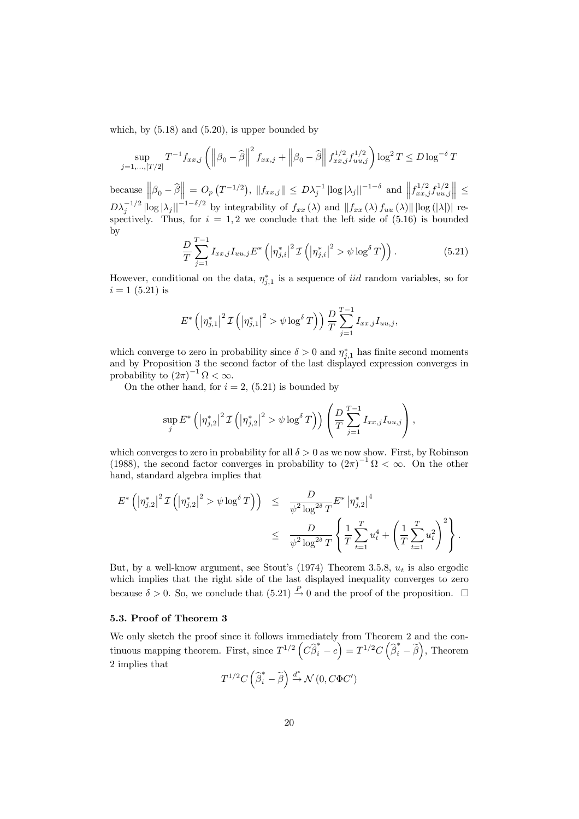which, by  $(5.18)$  and  $(5.20)$ , is upper bounded by

$$
\sup_{j=1,\dots,[T/2]} T^{-1} f_{xx,j} \left( \left\| \beta_0 - \widehat{\beta} \right\|^2 f_{xx,j} + \left\| \beta_0 - \widehat{\beta} \right\| f_{xx,j}^{1/2} f_{uu,j}^{1/2} \right) \log^2 T \le D \log^{-\delta} T
$$

because  $\left\|\beta_0 - \widehat{\beta}\right\| = O_p(T^{-1/2}), \, \|f_{xx,j}\| \leq D\lambda_j^{-1} |\log|\lambda_j||^{-1-\delta}$  and  $\left\|f_{xx,j}^{1/2}f_{uu,j}^{1/2}\right\| \leq$  $D\lambda_j^{-1/2} |\log |\lambda_j||^{-1-\delta/2}$  by integrability of  $f_{xx}(\lambda)$  and  $||f_{xx}(\lambda) f_{uu}(\lambda)|| |\log (|\lambda|)|$  respectively. Thus, for  $i = 1, 2$  we conclude that the left side of  $(5.16)$  is bounded by

$$
\frac{D}{T} \sum_{j=1}^{T-1} I_{xx,j} I_{uu,j} E^* \left( \left| \eta_{j,i}^* \right|^2 \mathcal{I} \left( \left| \eta_{j,i}^* \right|^2 > \psi \log^{\delta} T \right) \right). \tag{5.21}
$$

However, conditional on the data,  $\eta_{j,1}^*$  is a sequence of *iid* random variables, so for  $i = 1 (5.21)$  is

$$
E^* \left( \left| \eta_{j,1}^* \right|^2 \mathcal{I} \left( \left| \eta_{j,1}^* \right|^2 > \psi \log^{\delta} T \right) \right) \frac{D}{T} \sum_{j=1}^{T-1} I_{xx,j} I_{uu,j},
$$

which converge to zero in probability since  $\delta > 0$  and  $\eta_{j,1}^*$  has finite second moments and by Proposition 3 the second factor of the last displayed expression converges in probability to  $(2\pi)^{-1} \Omega < \infty$ .

On the other hand, for  $i = 2$ , (5.21) is bounded by

$$
\sup_{j} E^{*} \left( \left| \eta_{j,2}^{*} \right|^{2} \mathcal{I} \left( \left| \eta_{j,2}^{*} \right|^{2} > \psi \log^{\delta} T \right) \right) \left( \frac{D}{T} \sum_{j=1}^{T-1} I_{xx,j} I_{uu,j} \right),
$$

which converges to zero in probability for all  $\delta > 0$  as we now show. First, by Robinson (1988), the second factor converges in probability to  $(2\pi)^{-1} \Omega < \infty$ . On the other hand, standard algebra implies that

$$
E^* \left( \left| \eta_{j,2}^* \right|^2 \mathcal{I} \left( \left| \eta_{j,2}^* \right|^2 > \psi \log^{\delta} T \right) \right) \leq \frac{D}{\psi^2 \log^{2\delta} T} E^* \left| \eta_{j,2}^* \right|^4
$$
  

$$
\leq \frac{D}{\psi^2 \log^{2\delta} T} \left\{ \frac{1}{T} \sum_{t=1}^T u_t^4 + \left( \frac{1}{T} \sum_{t=1}^T u_t^2 \right)^2 \right\}.
$$

But, by a well-know argument, see Stout's  $(1974)$  Theorem 3.5.8,  $u_t$  is also ergodic which implies that the right side of the last displayed inequality converges to zero because  $\delta > 0$ . So, we conclude that  $(5.21) \stackrel{P}{\rightarrow} 0$  and the proof of the proposition.  $\Box$ 

#### 5.3. Proof of Theorem 3

We only sketch the proof since it follows immediately from Theorem 2 and the continuous mapping theorem. First, since  $T^{1/2} \left( C \hat{\beta}_i^* - c \right) = T^{1/2} C \left( \hat{\beta}_i^* - \tilde{\beta} \right)$ , Theorem 2 implies that

$$
T^{1/2}C\left(\widehat{\boldsymbol{\beta}}_i^*-\widetilde{\boldsymbol{\beta}}\right)\overset{d^*}{\to} \mathcal{N}\left(0,C\Phi C'\right)
$$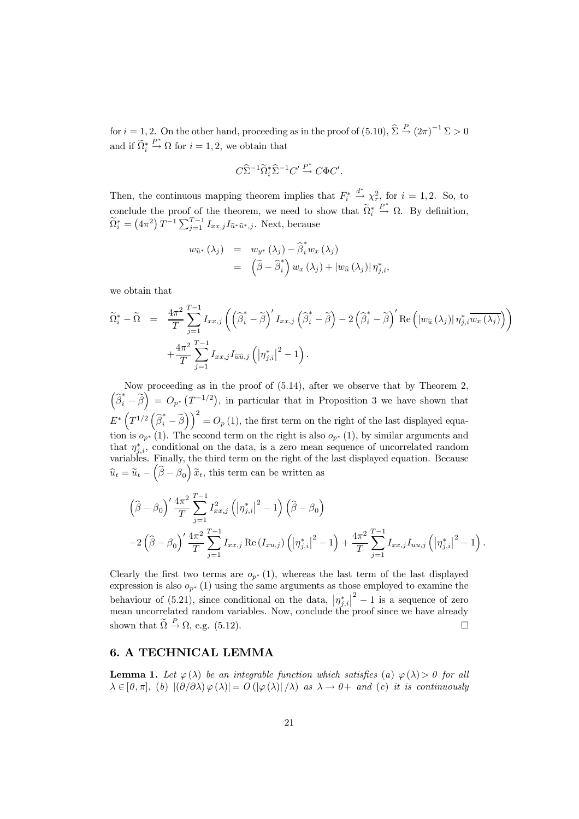for  $i = 1, 2$ . On the other hand, proceeding as in the proof of  $(5.10)$ ,  $\hat{\Sigma} \stackrel{P}{\rightarrow} (2\pi)^{-1} \Sigma > 0$ and if  $\Omega_i^*$  $\stackrel{P^*}{\rightarrow} \Omega$  for  $i = 1, 2$ , we obtain that

$$
C\widehat{\Sigma}^{-1}\widetilde{\Omega}_i^*\widehat{\Sigma}^{-1}C'\stackrel{P^*}{\to} C\Phi C'.
$$

Then, the continuous mapping theorem implies that  $F_i^*$  $\stackrel{d^*}{\rightarrow} \chi^2_r$ , for  $i = 1, 2$ . So, to conclude the proof of the theorem, we need to show that  $\Omega_i^*$  $\stackrel{P^*}{\rightarrow} \Omega$ . By definition,  $\widetilde{\Omega}_{i}^{*} = (4\pi^{2}) T^{-1} \sum_{j=1}^{T-1} I_{xx,j} I_{\widehat{u}^{*}\widehat{u}^{*},j}.$  Next, because

$$
w_{\widehat{u}^*}(\lambda_j) = w_{y^*}(\lambda_j) - \widehat{\beta}_i^* w_x(\lambda_j)
$$
  
= 
$$
(\widetilde{\beta} - \widehat{\beta}_i^*) w_x(\lambda_j) + |w_{\widehat{u}}(\lambda_j)| \eta_{j,i}^*,
$$

we obtain that

$$
\widetilde{\Omega}_{i}^{*} - \widetilde{\Omega} = \frac{4\pi^{2}}{T} \sum_{j=1}^{T-1} I_{xx,j} \left( \left( \widehat{\beta}_{i}^{*} - \widetilde{\beta} \right)' I_{xx,j} \left( \widehat{\beta}_{i}^{*} - \widetilde{\beta} \right) - 2 \left( \widehat{\beta}_{i}^{*} - \widetilde{\beta} \right)' \operatorname{Re} \left( \left| w_{\widehat{u}} \left( \lambda_{j} \right) \right| \eta_{j,i}^{*} \overline{w_{x} \left( \lambda_{j} \right)} \right) \right) + \frac{4\pi^{2}}{T} \sum_{j=1}^{T-1} I_{xx,j} I_{\widehat{u}\widehat{u},j} \left( \left| \eta_{j,i}^{*} \right|^{2} - 1 \right).
$$

Now proceeding as in the proof of (5.14), after we observe that by Theorem 2,  $\left(\hat{\beta}_i^* - \tilde{\beta}\right) = O_{p^*}\left(T^{-1/2}\right)$ , in particular that in Proposition 3 we have shown that  $E^* \left( T^{1/2} \left( \widehat{\beta}_i^* - \widetilde{\beta} \right) \right)^2 = O_p(1)$ , the first term on the right of the last displayed equation is  $o_{p^*}(1)$ . The second term on the right is also  $o_{p^*}(1)$ , by similar arguments and that  $\eta_{j,i}^*$ , conditional on the data, is a zero mean sequence of uncorrelated random variables. Finally, the third term on the right of the last displayed equation. Because  $\widehat{u}_t = \widetilde{u}_t - \left(\widehat{\beta} - \widehat{\beta}_0\right)\widetilde{x}_t$ , this term can be written as

$$
\left(\widehat{\beta} - \beta_0\right)' \frac{4\pi^2}{T} \sum_{j=1}^{T-1} I_{xx,j}^2 \left( |\eta_{j,i}^*|^2 - 1 \right) \left( \widehat{\beta} - \beta_0 \right) - 2 \left( \widehat{\beta} - \beta_0 \right)' \frac{4\pi^2}{T} \sum_{j=1}^{T-1} I_{xx,j} \operatorname{Re} (I_{xu,j}) \left( |\eta_{j,i}^*|^2 - 1 \right) + \frac{4\pi^2}{T} \sum_{j=1}^{T-1} I_{xx,j} I_{uu,j} \left( |\eta_{j,i}^*|^2 - 1 \right).
$$

Clearly the first two terms are  $o_{p^*}(1)$ , whereas the last term of the last displayed expression is also  $o_{p^*}(1)$  using the same arguments as those employed to examine the behaviour of (5.21), since conditional on the data,  $|\eta_{j,i}^*|^2 - 1$  is a sequence of zero mean uncorrelated random variables. Now, conclude the proof since we have already shown that  $\widetilde{\Omega} \stackrel{P}{\rightarrow} \Omega$ , e.g. (5.12).

## 6. A TECHNICAL LEMMA

**Lemma 1.** Let  $\varphi(\lambda)$  be an integrable function which satisfies (a)  $\varphi(\lambda) > 0$  for all  $\lambda \in [0, \pi],$  (b)  $|(\partial/\partial \lambda) \varphi(\lambda)| = O(|\varphi(\lambda)|/\lambda)$  as  $\lambda \to 0+$  and (c) it is continuously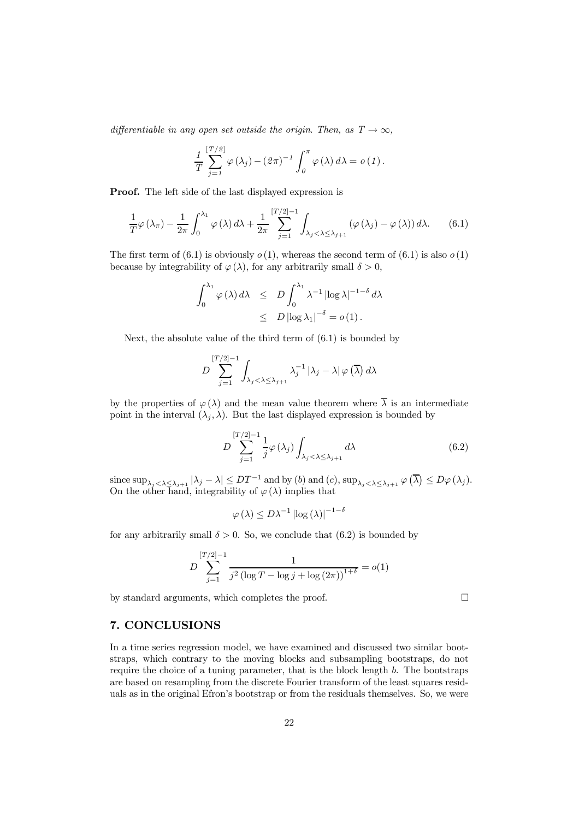differentiable in any open set outside the origin. Then, as  $T \to \infty$ ,

$$
\frac{1}{T} \sum_{j=1}^{[T/2]} \varphi(\lambda_j) - (2\pi)^{-1} \int_0^{\pi} \varphi(\lambda) d\lambda = o(1).
$$

Proof. The left side of the last displayed expression is

 $\overline{y}$   $\overline{y}$   $\overline{y}$ 

$$
\frac{1}{T}\varphi(\lambda_{\pi}) - \frac{1}{2\pi} \int_0^{\lambda_1} \varphi(\lambda) d\lambda + \frac{1}{2\pi} \sum_{j=1}^{[T/2]-1} \int_{\lambda_j < \lambda \leq \lambda_{j+1}} (\varphi(\lambda_j) - \varphi(\lambda)) d\lambda. \tag{6.1}
$$

The first term of (6.1) is obviously  $o(1)$ , whereas the second term of (6.1) is also  $o(1)$ because by integrability of  $\varphi(\lambda)$ , for any arbitrarily small  $\delta > 0$ ,

$$
\int_0^{\lambda_1} \varphi(\lambda) d\lambda \le D \int_0^{\lambda_1} \lambda^{-1} |\log \lambda|^{-1-\delta} d\lambda
$$
  
  $\le D |\log \lambda_1|^{-\delta} = o(1).$ 

Next, the absolute value of the third term of (6.1) is bounded by

$$
D\sum_{j=1}^{[T/2]-1}\int_{\lambda_j<\lambda\leq\lambda_{j+1}}\lambda_j^{-1}\left|\lambda_j-\lambda\right|\varphi\left(\overline{\lambda}\right)d\lambda
$$

by the properties of  $\varphi(\lambda)$  and the mean value theorem where  $\overline{\lambda}$  is an intermediate point in the interval  $(\lambda_i, \lambda)$ . But the last displayed expression is bounded by

$$
D \sum_{j=1}^{[T/2]-1} \frac{1}{j} \varphi(\lambda_j) \int_{\lambda_j < \lambda \leq \lambda_{j+1}} d\lambda \tag{6.2}
$$

since  $\sup_{\lambda_j < \lambda \leq \lambda_{j+1}} |\lambda_j - \lambda| \leq DT^{-1}$  and by (b) and (c),  $\sup_{\lambda_j < \lambda \leq \lambda_{j+1}} \varphi(\overline{\lambda}) \leq D\varphi(\lambda_j)$ . On the other hand, integrability of  $\varphi(\lambda)$  implies that

$$
\varphi(\lambda) \leq D\lambda^{-1} \left| \log(\lambda) \right|^{-1-\delta}
$$

for any arbitrarily small  $\delta > 0$ . So, we conclude that (6.2) is bounded by

$$
D \sum_{j=1}^{[T/2]-1} \frac{1}{j^2 (\log T - \log j + \log (2\pi))^{1+\delta}} = o(1)
$$

by standard arguments, which completes the proof.  $\Box$ 

## 7. CONCLUSIONS

In a time series regression model, we have examined and discussed two similar bootstraps, which contrary to the moving blocks and subsampling bootstraps, do not require the choice of a tuning parameter, that is the block length b. The bootstraps are based on resampling from the discrete Fourier transform of the least squares residuals as in the original Efron's bootstrap or from the residuals themselves. So, we were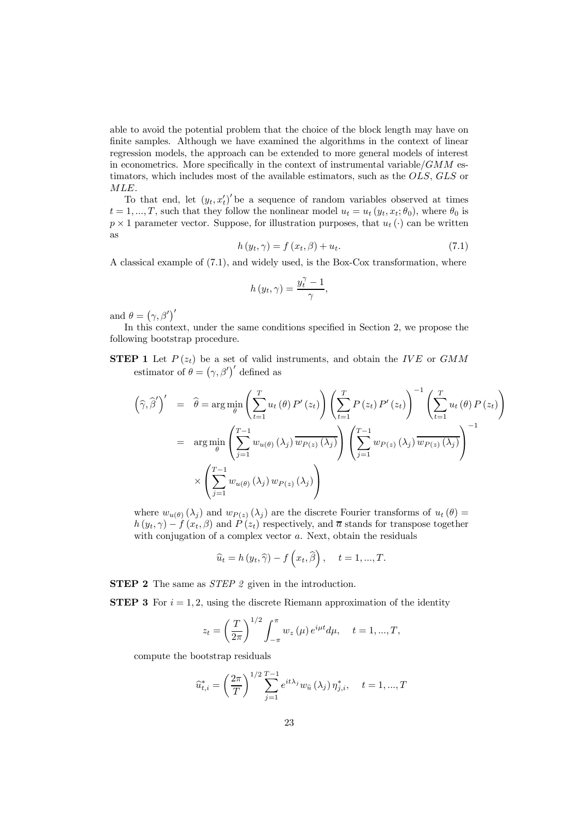able to avoid the potential problem that the choice of the block length may have on finite samples. Although we have examined the algorithms in the context of linear regression models, the approach can be extended to more general models of interest in econometrics. More specifically in the context of instrumental variable/ $GMM$  estimators, which includes most of the available estimators, such as the OLS, GLS or MLE.

To that end, let  $(y_t, x_t')'$  be a sequence of random variables observed at times  $t = 1, ..., T$ , such that they follow the nonlinear model  $u_t = u_t (y_t, x_t; \theta_0)$ , where  $\theta_0$  is  $p \times 1$  parameter vector. Suppose, for illustration purposes, that  $u_t(\cdot)$  can be written as

$$
h(y_t, \gamma) = f(x_t, \beta) + u_t. \tag{7.1}
$$

A classical example of (7.1), and widely used, is the Box-Cox transformation, where

$$
h(y_t, \gamma) = \frac{y_t^{\gamma} - 1}{\gamma},
$$

and  $\theta = (\gamma, \beta')'$ 

In this context, under the same conditions specified in Section 2, we propose the following bootstrap procedure.

**STEP 1** Let  $P(z_t)$  be a set of valid instruments, and obtain the IVE or GMM estimator of  $\theta = (\gamma, \beta')'$  defined as

$$
(\widehat{\gamma}, \widehat{\beta}')' = \widehat{\theta} = \arg \min_{\theta} \left( \sum_{t=1}^{T} u_t(\theta) P'(z_t) \right) \left( \sum_{t=1}^{T} P(z_t) P'(z_t) \right)^{-1} \left( \sum_{t=1}^{T} u_t(\theta) P(z_t) \right)
$$

$$
= \arg \min_{\theta} \left( \sum_{j=1}^{T-1} w_{u(\theta)}(\lambda_j) \overline{w_{P(z)}(\lambda_j)} \right) \left( \sum_{j=1}^{T-1} w_{P(z)}(\lambda_j) \overline{w_{P(z)}(\lambda_j)} \right)^{-1}
$$

$$
\times \left( \sum_{j=1}^{T-1} w_{u(\theta)}(\lambda_j) w_{P(z)}(\lambda_j) \right)
$$

where  $w_{u(\theta)}(\lambda_i)$  and  $w_{P(z)}(\lambda_i)$  are the discrete Fourier transforms of  $u_t(\theta)$  $h(y_t, \gamma) - f(x_t, \beta)$  and  $P(z_t)$  respectively, and  $\overline{a}$  stands for transpose together with conjugation of a complex vector  $a$ . Next, obtain the residuals

$$
\widehat{u}_t = h(y_t, \widehat{\gamma}) - f(x_t, \widehat{\beta}), \quad t = 1, ..., T.
$$

**STEP 2** The same as *STEP 2* given in the introduction.

**STEP 3** For  $i = 1, 2$ , using the discrete Riemann approximation of the identity

$$
z_t = \left(\frac{T}{2\pi}\right)^{1/2} \int_{-\pi}^{\pi} w_z(\mu) e^{i\mu t} d\mu, \quad t = 1, ..., T,
$$

compute the bootstrap residuals

$$
\widehat{u}_{t,i}^{*} = \left(\frac{2\pi}{T}\right)^{1/2} \sum_{j=1}^{T-1} e^{it\lambda_j} w_{\widehat{u}}\left(\lambda_j\right) \eta_{j,i}^{*}, \quad t = 1, ..., T
$$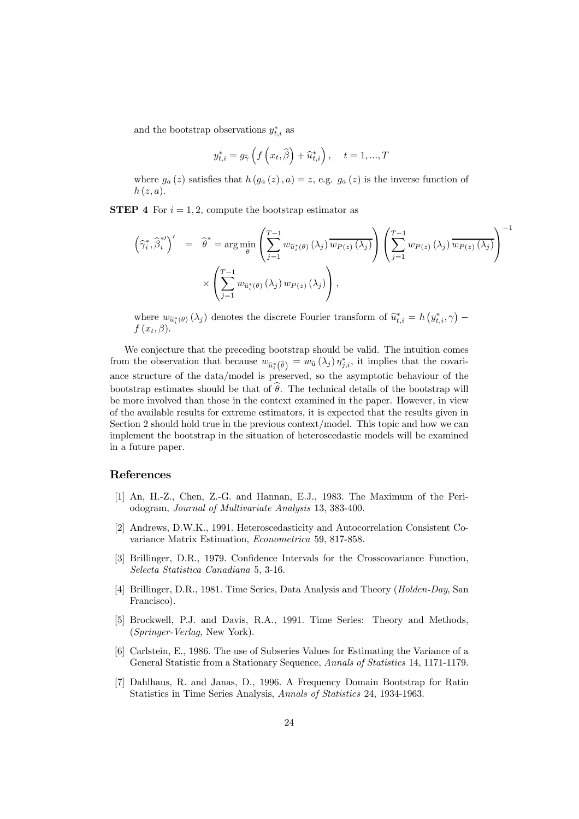and the bootstrap observations  $y_{t,i}^*$  as

$$
y_{t,i}^* = g_{\widehat{\gamma}}\left(f\left(x_t, \widehat{\beta}\right) + \widehat{u}_{t,i}^*\right), \quad t = 1, ..., T
$$

where  $g_a(z)$  satisfies that  $h(g_a(z), a) = z$ , e.g.  $g_a(z)$  is the inverse function of  $h(z,a)$ .

**STEP 4** For  $i = 1, 2$ , compute the bootstrap estimator as

$$
\left(\widehat{\gamma}_{i}^{*}, \widehat{\beta}_{i}^{*}{}'\right)' = \widehat{\theta}^{*} = \arg\min_{\theta} \left(\sum_{j=1}^{T-1} w_{\widehat{u}_{i}^{*}(\theta)}(\lambda_{j}) \overline{w_{P(z)}(\lambda_{j})}\right) \left(\sum_{j=1}^{T-1} w_{P(z)}(\lambda_{j}) \overline{w_{P(z)}(\lambda_{j})}\right)^{-1}
$$

$$
\times \left(\sum_{j=1}^{T-1} w_{\widehat{u}_{i}^{*}(\theta)}(\lambda_{j}) w_{P(z)}(\lambda_{j})\right),
$$

where  $w_{\hat{u}_i^*(\theta)}(\lambda_j)$  denotes the discrete Fourier transform of  $\hat{u}_{t,i}^* = h\left(y_{t,i}^*, \gamma\right) - f\left(x_{t,i}^*, \gamma\right)$  $f(x_t, \beta)$ .

We conjecture that the preceding bootstrap should be valid. The intuition comes from the observation that because  $w_{\hat{u}_i^*(\hat{\theta})} = w_{\hat{u}}(\lambda_j) \eta_{j,i}^*$ , it implies that the covariance structure of the data/model is preserved, so the asymptotic behaviour of the bootstrap estimates should be that of  $\theta$ . The technical details of the bootstrap will be more involved than those in the context examined in the paper. However, in view of the available results for extreme estimators, it is expected that the results given in Section 2 should hold true in the previous context/model. This topic and how we can implement the bootstrap in the situation of heteroscedastic models will be examined in a future paper.

## References

- [1] An, H.-Z., Chen, Z.-G. and Hannan, E.J., 1983. The Maximum of the Periodogram, Journal of Multivariate Analysis 13, 383-400.
- [2] Andrews, D.W.K., 1991. Heteroscedasticity and Autocorrelation Consistent Covariance Matrix Estimation, Econometrica 59, 817-858.
- [3] Brillinger, D.R., 1979. Confidence Intervals for the Crosscovariance Function, Selecta Statistica Canadiana 5, 3-16.
- [4] Brillinger, D.R., 1981. Time Series, Data Analysis and Theory (Holden-Day, San Francisco).
- [5] Brockwell, P.J. and Davis, R.A., 1991. Time Series: Theory and Methods, (Springer-Verlag, New York).
- [6] Carlstein, E., 1986. The use of Subseries Values for Estimating the Variance of a General Statistic from a Stationary Sequence, Annals of Statistics 14, 1171-1179.
- [7] Dahlhaus, R. and Janas, D., 1996. A Frequency Domain Bootstrap for Ratio Statistics in Time Series Analysis, Annals of Statistics 24, 1934-1963.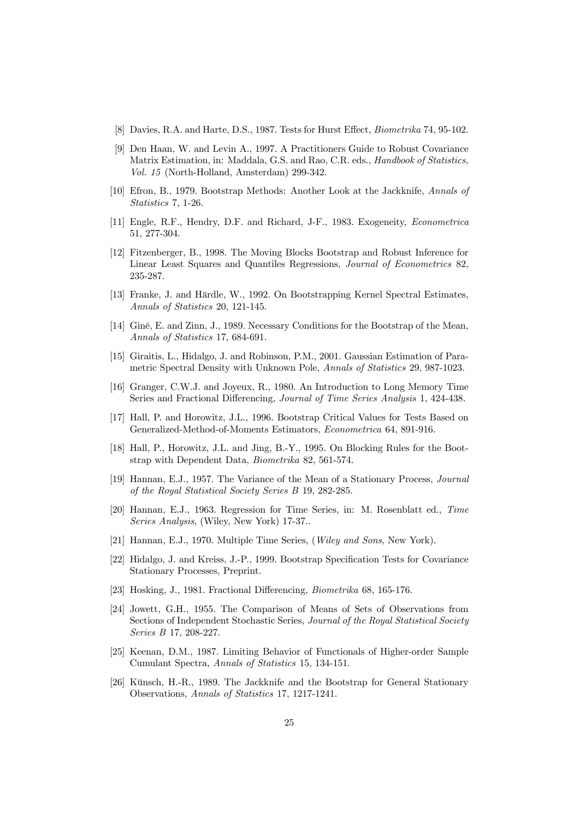- [8] Davies, R.A. and Harte, D.S., 1987. Tests for Hurst Effect, Biometrika 74, 95-102.
- [9] Den Haan, W. and Levin A., 1997. A Practitioners Guide to Robust Covariance Matrix Estimation, in: Maddala, G.S. and Rao, C.R. eds., Handbook of Statistics, Vol. 15 (North-Holland, Amsterdam) 299-342.
- [10] Efron, B., 1979. Bootstrap Methods: Another Look at the Jackknife, Annals of Statistics 7, 1-26.
- [11] Engle, R.F., Hendry, D.F. and Richard, J-F., 1983. Exogeneity, Econometrica 51, 277-304.
- [12] Fitzenberger, B., 1998. The Moving Blocks Bootstrap and Robust Inference for Linear Least Squares and Quantiles Regressions, Journal of Econometrics 82, 235-287.
- [13] Franke, J. and Härdle, W., 1992. On Bootstrapping Kernel Spectral Estimates, Annals of Statistics 20, 121-145.
- [14] Giné, E. and Zinn, J., 1989. Necessary Conditions for the Bootstrap of the Mean, Annals of Statistics 17, 684-691.
- [15] Giraitis, L., Hidalgo, J. and Robinson, P.M., 2001. Gaussian Estimation of Parametric Spectral Density with Unknown Pole, Annals of Statistics 29, 987-1023.
- [16] Granger, C.W.J. and Joyeux, R., 1980. An Introduction to Long Memory Time Series and Fractional Differencing, Journal of Time Series Analysis 1, 424-438.
- [17] Hall, P. and Horowitz, J.L., 1996. Bootstrap Critical Values for Tests Based on Generalized-Method-of-Moments Estimators, Econometrica 64, 891-916.
- [18] Hall, P., Horowitz, J.L. and Jing, B.-Y., 1995. On Blocking Rules for the Bootstrap with Dependent Data, Biometrika 82, 561-574.
- [19] Hannan, E.J., 1957. The Variance of the Mean of a Stationary Process, Journal of the Royal Statistical Society Series B 19, 282-285.
- [20] Hannan, E.J., 1963. Regression for Time Series, in: M. Rosenblatt ed., Time Series Analysis, (Wiley, New York) 17-37..
- [21] Hannan, E.J., 1970. Multiple Time Series, (Wiley and Sons, New York).
- [22] Hidalgo, J. and Kreiss, J.-P., 1999. Bootstrap Specification Tests for Covariance Stationary Processes, Preprint.
- [23] Hosking, J., 1981. Fractional Differencing, Biometrika 68, 165-176.
- [24] Jowett, G.H., 1955. The Comparison of Means of Sets of Observations from Sections of Independent Stochastic Series, Journal of the Royal Statistical Society Series B 17, 208-227.
- [25] Keenan, D.M., 1987. Limiting Behavior of Functionals of Higher-order Sample Cumulant Spectra, Annals of Statistics 15, 134-151.
- [26] Künsch, H.-R., 1989. The Jackknife and the Bootstrap for General Stationary Observations, Annals of Statistics 17, 1217-1241.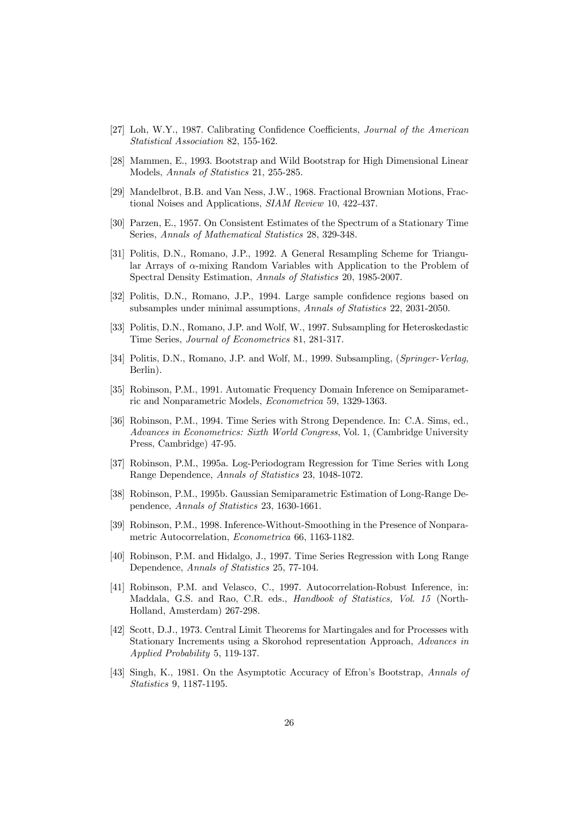- [27] Loh, W.Y., 1987. Calibrating Confidence Coefficients, Journal of the American Statistical Association 82, 155-162.
- [28] Mammen, E., 1993. Bootstrap and Wild Bootstrap for High Dimensional Linear Models, Annals of Statistics 21, 255-285.
- [29] Mandelbrot, B.B. and Van Ness, J.W., 1968. Fractional Brownian Motions, Fractional Noises and Applications, SIAM Review 10, 422-437.
- [30] Parzen, E., 1957. On Consistent Estimates of the Spectrum of a Stationary Time Series, Annals of Mathematical Statistics 28, 329-348.
- [31] Politis, D.N., Romano, J.P., 1992. A General Resampling Scheme for Triangular Arrays of  $\alpha$ -mixing Random Variables with Application to the Problem of Spectral Density Estimation, Annals of Statistics 20, 1985-2007.
- [32] Politis, D.N., Romano, J.P., 1994. Large sample confidence regions based on subsamples under minimal assumptions, Annals of Statistics 22, 2031-2050.
- [33] Politis, D.N., Romano, J.P. and Wolf, W., 1997. Subsampling for Heteroskedastic Time Series, Journal of Econometrics 81, 281-317.
- [34] Politis, D.N., Romano, J.P. and Wolf, M., 1999. Subsampling, (Springer-Verlag, Berlin).
- [35] Robinson, P.M., 1991. Automatic Frequency Domain Inference on Semiparametric and Nonparametric Models, Econometrica 59, 1329-1363.
- [36] Robinson, P.M., 1994. Time Series with Strong Dependence. In: C.A. Sims, ed., Advances in Econometrics: Sixth World Congress, Vol. 1, (Cambridge University Press, Cambridge) 47-95.
- [37] Robinson, P.M., 1995a. Log-Periodogram Regression for Time Series with Long Range Dependence, Annals of Statistics 23, 1048-1072.
- [38] Robinson, P.M., 1995b. Gaussian Semiparametric Estimation of Long-Range Dependence, Annals of Statistics 23, 1630-1661.
- [39] Robinson, P.M., 1998. Inference-Without-Smoothing in the Presence of Nonparametric Autocorrelation, Econometrica 66, 1163-1182.
- [40] Robinson, P.M. and Hidalgo, J., 1997. Time Series Regression with Long Range Dependence, Annals of Statistics 25, 77-104.
- [41] Robinson, P.M. and Velasco, C., 1997. Autocorrelation-Robust Inference, in: Maddala, G.S. and Rao, C.R. eds., Handbook of Statistics, Vol. 15 (North-Holland, Amsterdam) 267-298.
- [42] Scott, D.J., 1973. Central Limit Theorems for Martingales and for Processes with Stationary Increments using a Skorohod representation Approach, Advances in Applied Probability 5, 119-137.
- [43] Singh, K., 1981. On the Asymptotic Accuracy of Efron's Bootstrap, Annals of Statistics 9, 1187-1195.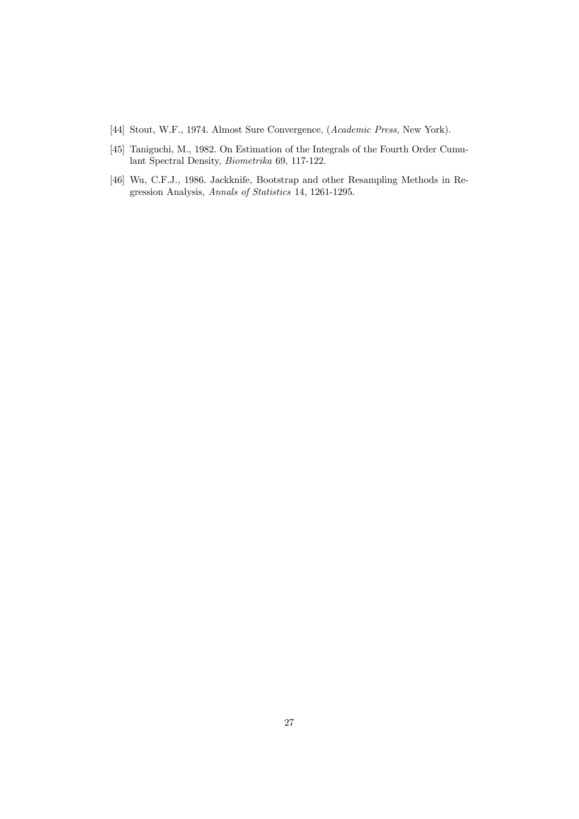[44] Stout, W.F., 1974. Almost Sure Convergence, (Academic Press, New York).

- [45] Taniguchi, M., 1982. On Estimation of the Integrals of the Fourth Order Cumulant Spectral Density, Biometrika 69, 117-122.
- [46] Wu, C.F.J., 1986. Jackknife, Bootstrap and other Resampling Methods in Regression Analysis, Annals of Statistics 14, 1261-1295.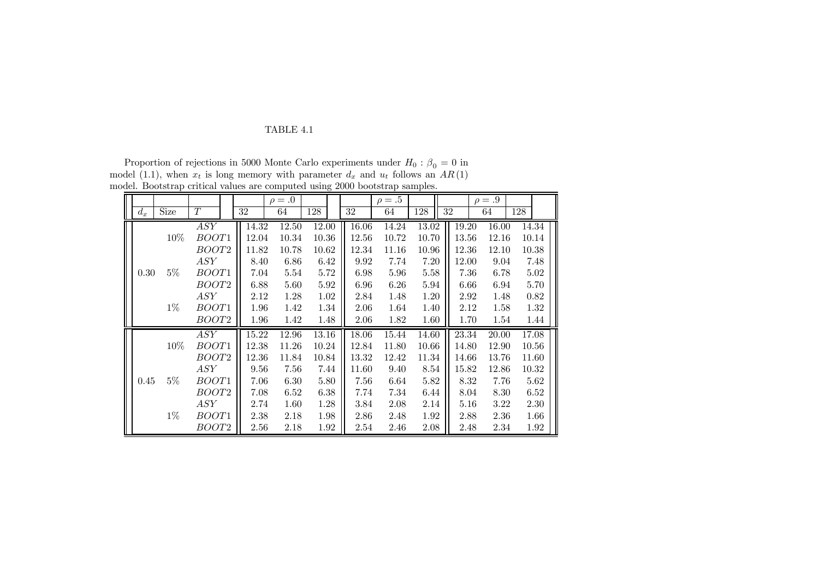Proportion of rejections in 5000 Monte Carlo experiments under  $H_0$ :  $\beta_0 = 0$  in model (1.1), when  $x_t$  is long memory with parameter  $d_x$  and  $u_t$  follows an  $AR(1)$ model. Bootstrap critical values are computed using 2000 bootstrap samples.

|       |        |                   |       | $\rho = .0$ |       |       | $\rho=.5$ |       |       | $\rho = .9$ |     |       |
|-------|--------|-------------------|-------|-------------|-------|-------|-----------|-------|-------|-------------|-----|-------|
| $d_x$ | Size   | $\cal T$          | 32    | 64          | 128   | 32    | 64        | 128   | 32    | 64          | 128 |       |
|       |        | ASY               | 14.32 | 12.50       | 12.00 | 16.06 | 14.24     | 13.02 | 19.20 | 16.00       |     | 14.34 |
|       | 10%    | <i>BOOT</i> 1     | 12.04 | 10.34       | 10.36 | 12.56 | 10.72     | 10.70 | 13.56 | 12.16       |     | 10.14 |
|       |        | BOOT2             | 11.82 | 10.78       | 10.62 | 12.34 | 11.16     | 10.96 | 12.36 | 12.10       |     | 10.38 |
|       |        | ASY               | 8.40  | 6.86        | 6.42  | 9.92  | 7.74      | 7.20  | 12.00 | 9.04        |     | 7.48  |
| 0.30  | $5\%$  | <i>BOOT</i> 1     | 7.04  | 5.54        | 5.72  | 6.98  | 5.96      | 5.58  | 7.36  | 6.78        |     | 5.02  |
|       |        | <i>BOOT2</i>      | 6.88  | 5.60        | 5.92  | 6.96  | 6.26      | 5.94  | 6.66  | 6.94        |     | 5.70  |
|       |        | ASY               | 2.12  | 1.28        | 1.02  | 2.84  | 1.48      | 1.20  | 2.92  | 1.48        |     | 0.82  |
|       | $1\%$  | <i>BOOT</i> 1     | 1.96  | 1.42        | 1.34  | 2.06  | 1.64      | 1.40  | 2.12  | 1.58        |     | 1.32  |
|       |        | BOOT <sub>2</sub> | 1.96  | 1.42        | 1.48  | 2.06  | 1.82      | 1.60  | 1.70  | 1.54        |     | 1.44  |
|       |        | ASY               | 15.22 | 12.96       | 13.16 | 18.06 | 15.44     | 14.60 | 23.34 | 20.00       |     | 17.08 |
|       | $10\%$ | <i>BOOT</i> 1     | 12.38 | 11.26       | 10.24 | 12.84 | 11.80     | 10.66 | 14.80 | 12.90       |     | 10.56 |
|       |        | BOOT2             | 12.36 | 11.84       | 10.84 | 13.32 | 12.42     | 11.34 | 14.66 | 13.76       |     | 11.60 |
|       |        | ASY               | 9.56  | 7.56        | 7.44  | 11.60 | 9.40      | 8.54  | 15.82 | 12.86       |     | 10.32 |
| 0.45  | $5\%$  | <i>BOOT</i> 1     | 7.06  | 6.30        | 5.80  | 7.56  | 6.64      | 5.82  | 8.32  | 7.76        |     | 5.62  |
|       |        | BOOT <sub>2</sub> | 7.08  | 6.52        | 6.38  | 7.74  | 7.34      | 6.44  | 8.04  | 8.30        |     | 6.52  |
|       |        | ASY               | 2.74  | 1.60        | 1.28  | 3.84  | 2.08      | 2.14  | 5.16  | 3.22        |     | 2.30  |
|       | $1\%$  | <i>BOOT</i> 1     | 2.38  | 2.18        | 1.98  | 2.86  | 2.48      | 1.92  | 2.88  | 2.36        |     | 1.66  |
|       |        | <i>BOOT2</i>      | 2.56  | 2.18        | 1.92  | 2.54  | 2.46      | 2.08  | 2.48  | 2.34        |     | 1.92  |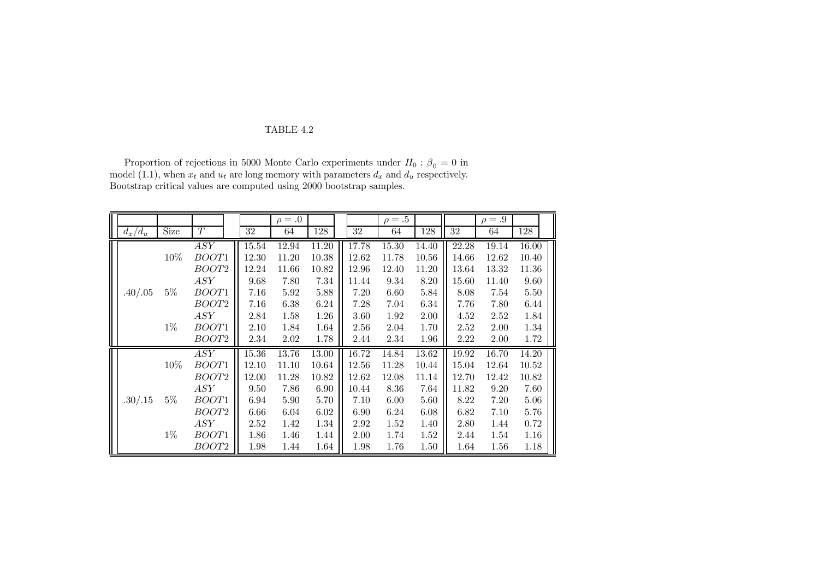Proportion of rejections in 5000 Monte Carlo experiments under  $H_0$ :  $\beta_0 = 0$  in model (1.1), when  $x_t$  and  $u_t$  are long memory with parameters  $d_x$  and  $d_u$  respectively. Bootstrap critical values are computed using 2000 bootstrap samples.

|           |             |                  |       | $\rho = .0$ |       |       | $\rho=.5$ |       |       | $\rho = .9$ |       |  |
|-----------|-------------|------------------|-------|-------------|-------|-------|-----------|-------|-------|-------------|-------|--|
| $d_x/d_u$ | <b>Size</b> | T                | 32    | 64          | 128   | 32    | 64        | 128   | 32    | 64          | 128   |  |
|           |             | $\overline{ASY}$ | 15.54 | 12.94       | 11.20 | 17.78 | 15.30     | 14.40 | 22.28 | 19.14       | 16.00 |  |
|           | 10%         | BOOT1            | 12.30 | 11.20       | 10.38 | 12.62 | 11.78     | 10.56 | 14.66 | 12.62       | 10.40 |  |
|           |             | BOOT2            | 12.24 | 11.66       | 10.82 | 12.96 | 12.40     | 11.20 | 13.64 | 13.32       | 11.36 |  |
|           |             | ASY              | 9.68  | 7.80        | 7.34  | 11.44 | 9.34      | 8.20  | 15.60 | 11.40       | 9.60  |  |
| .40/.05   | $5\%$       | BOOT1            | 7.16  | 5.92        | 5.88  | 7.20  | 6.60      | 5.84  | 8.08  | 7.54        | 5.50  |  |
|           |             | <i>BOOT2</i>     | 7.16  | 6.38        | 6.24  | 7.28  | 7.04      | 6.34  | 7.76  | 7.80        | 6.44  |  |
|           |             | ASY              | 2.84  | 1.58        | 1.26  | 3.60  | 1.92      | 2.00  | 4.52  | 2.52        | 1.84  |  |
|           | $1\%$       | <i>BOOT</i> 1    | 2.10  | 1.84        | 1.64  | 2.56  | 2.04      | 1.70  | 2.52  | 2.00        | 1.34  |  |
|           |             | <i>BOOT2</i>     | 2.34  | 2.02        | 1.78  | 2.44  | 2.34      | 1.96  | 2.22  | 2.00        | 1.72  |  |
|           |             | ASY              | 15.36 | 13.76       | 13.00 | 16.72 | 14.84     | 13.62 | 19.92 | 16.70       | 14.20 |  |
|           | 10%         | BOOT1            | 12.10 | 11.10       | 10.64 | 12.56 | 11.28     | 10.44 | 15.04 | 12.64       | 10.52 |  |
|           |             | BOOT2            | 12.00 | 11.28       | 10.82 | 12.62 | 12.08     | 11.14 | 12.70 | 12.42       | 10.82 |  |
|           |             | ASY              | 9.50  | 7.86        | 6.90  | 10.44 | 8.36      | 7.64  | 11.82 | 9.20        | 7.60  |  |
| .30/.15   | $5\%$       | BOOT1            | 6.94  | 5.90        | 5.70  | 7.10  | 6.00      | 5.60  | 8.22  | 7.20        | 5.06  |  |
|           |             | <i>BOOT2</i>     | 6.66  | 6.04        | 6.02  | 6.90  | 6.24      | 6.08  | 6.82  | 7.10        | 5.76  |  |
|           |             | ASY              | 2.52  | 1.42        | 1.34  | 2.92  | 1.52      | 1.40  | 2.80  | 1.44        | 0.72  |  |
|           | $1\%$       | BOOT1            | 1.86  | 1.46        | 1.44  | 2.00  | 1.74      | 1.52  | 2.44  | 1.54        | 1.16  |  |
|           |             | <i>BOOT2</i>     | 1.98  | 1.44        | 1.64  | 1.98  | 1.76      | 1.50  | 1.64  | 1.56        | 1.18  |  |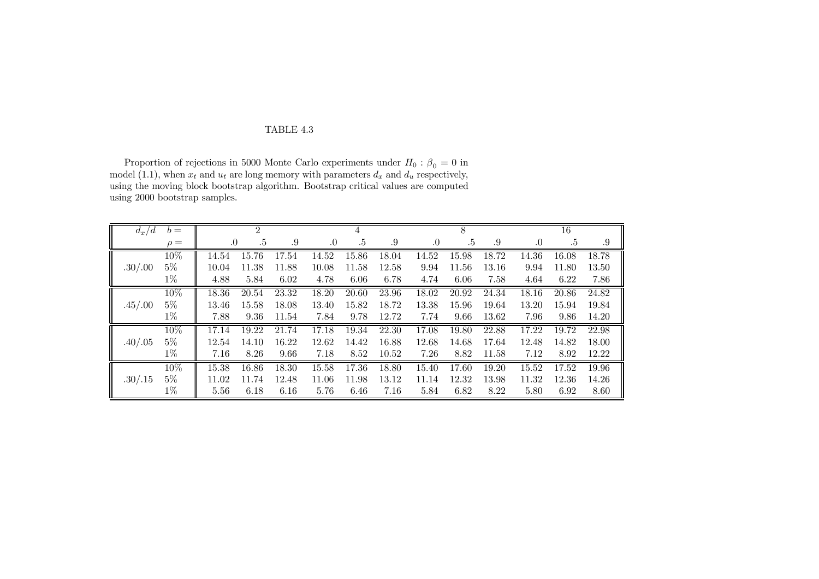Proportion of rejections in 5000 Monte Carlo experiments under  $H_0$  :  $\beta_0 = 0$  in model (1.1), when  $x_t$  and  $u_t$  are long memory with parameters  $d_x$  and  $d_u$  respectively, using the moving block bootstrap algorithm. Bootstrap critical values are computed using 2000 bootstrap samples.

| $d_x/d$ | $b =$    |       | 2     |       |       |       |       |           | 8     |       |       | 16    |       |
|---------|----------|-------|-------|-------|-------|-------|-------|-----------|-------|-------|-------|-------|-------|
|         | $\rho =$ | .0    | .5    | .9    | .0    | .5    | .9    | $\cdot 0$ | .5    | .9    | .0    | .5    | .9    |
|         | 10%      | 14.54 | 15.76 | 17.54 | 14.52 | 15.86 | 18.04 | 14.52     | 15.98 | 18.72 | 14.36 | 16.08 | 18.78 |
| .30/.00 | $5\%$    | 10.04 | 11.38 | 11.88 | 10.08 | 11.58 | 12.58 | 9.94      | 11.56 | 13.16 | 9.94  | 11.80 | 13.50 |
|         | $1\%$    | 4.88  | 5.84  | 6.02  | 4.78  | 6.06  | 6.78  | 4.74      | 6.06  | 7.58  | 4.64  | 6.22  | 7.86  |
|         | 10%      | 18.36 | 20.54 | 23.32 | 18.20 | 20.60 | 23.96 | 18.02     | 20.92 | 24.34 | 18.16 | 20.86 | 24.82 |
| .45/.00 | $5\%$    | 13.46 | 15.58 | 18.08 | 13.40 | 15.82 | 18.72 | 13.38     | 15.96 | 19.64 | 13.20 | 15.94 | 19.84 |
|         | $1\%$    | 7.88  | 9.36  | 11.54 | 7.84  | 9.78  | 12.72 | 7.74      | 9.66  | 13.62 | 7.96  | 9.86  | 14.20 |
|         | 10%      | 17.14 | 19.22 | 21.74 | 17.18 | 19.34 | 22.30 | 17.08     | 19.80 | 22.88 | 17.22 | 19.72 | 22.98 |
| .40/.05 | $5\%$    | 12.54 | 14.10 | 16.22 | 12.62 | 14.42 | 16.88 | 12.68     | 14.68 | 17.64 | 12.48 | 14.82 | 18.00 |
|         | $1\%$    | 7.16  | 8.26  | 9.66  | 7.18  | 8.52  | 10.52 | 7.26      | 8.82  | 11.58 | 7.12  | 8.92  | 12.22 |
|         | 10%      | 15.38 | 16.86 | 18.30 | 15.58 | 17.36 | 18.80 | 15.40     | 17.60 | 19.20 | 15.52 | 17.52 | 19.96 |
| .30/.15 | $5\%$    | 11.02 | 11.74 | 12.48 | 11.06 | 11.98 | 13.12 | 11.14     | 12.32 | 13.98 | 11.32 | 12.36 | 14.26 |
|         | $1\%$    | 5.56  | 6.18  | 6.16  | 5.76  | 6.46  | 7.16  | 5.84      | 6.82  | 8.22  | 5.80  | 6.92  | 8.60  |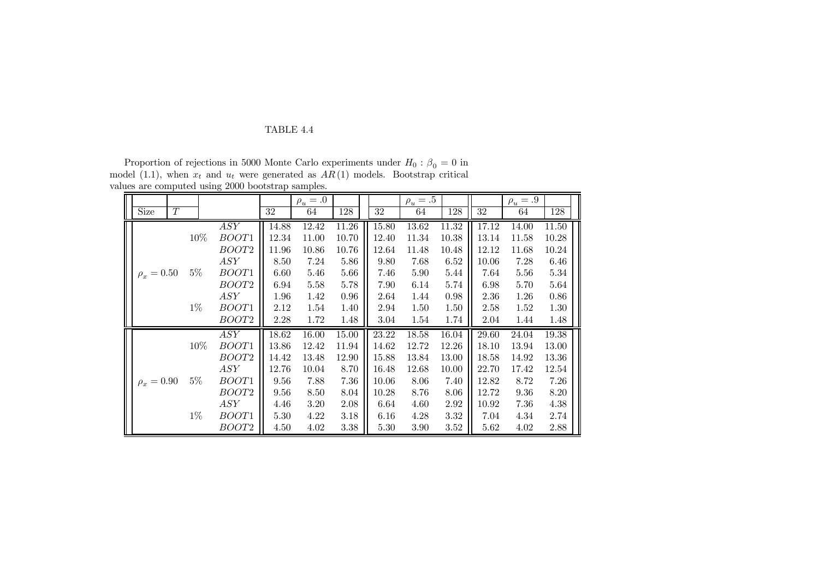Proportion of rejections in 5000 Monte Carlo experiments under  $H_0$ :  $\beta_0 = 0$  in model (1.1), when  $x_t$  and  $u_t$  were generated as  $AR(1)$  models. Bootstrap critical values are computed using 2000 bootstrap samples.

|               |                  |       |     |                  |       | $\rho_u = .0$ |       |       | $\rho_u = .5$ |          |       | $\rho_u = .9$ |       |
|---------------|------------------|-------|-----|------------------|-------|---------------|-------|-------|---------------|----------|-------|---------------|-------|
| Size          | $\boldsymbol{T}$ |       |     |                  | 32    | 64            | 128   | 32    | 64            | 128      | 32    | 64            | 128   |
|               |                  |       |     | $\overline{ASY}$ | 14.88 | 12.42         | 11.26 | 15.80 | 13.62         | 11.32    | 17.12 | 14.00         | 11.50 |
|               |                  |       | 10% | BOOT1            | 12.34 | 11.00         | 10.70 | 12.40 | 11.34         | 10.38    | 13.14 | 11.58         | 10.28 |
|               |                  |       |     | BOOT2            | 11.96 | 10.86         | 10.76 | 12.64 | 11.48         | 10.48    | 12.12 | 11.68         | 10.24 |
|               |                  |       |     | ASY              | 8.50  | 7.24          | 5.86  | 9.80  | 7.68          | 6.52     | 10.06 | 7.28          | 6.46  |
| $\rho_x=0.50$ |                  | $5\%$ |     | BOOT1            | 6.60  | 5.46          | 5.66  | 7.46  | 5.90          | 5.44     | 7.64  | 5.56          | 5.34  |
|               |                  |       |     | BOOT2            | 6.94  | 5.58          | 5.78  | 7.90  | 6.14          | 5.74     | 6.98  | 5.70          | 5.64  |
|               |                  |       |     | ASY              | 1.96  | 1.42          | 0.96  | 2.64  | 1.44          | 0.98     | 2.36  | 1.26          | 0.86  |
|               |                  | $1\%$ |     | <i>BOOT</i> 1    | 2.12  | 1.54          | 1.40  | 2.94  | 1.50          | 1.50     | 2.58  | 1.52          | 1.30  |
|               |                  |       |     | BOOT2            | 2.28  | 1.72          | 1.48  | 3.04  | 1.54          | 1.74     | 2.04  | 1.44          | 1.48  |
|               |                  |       |     | ASY              | 18.62 | 16.00         | 15.00 | 23.22 | 18.58         | 16.04    | 29.60 | 24.04         | 19.38 |
|               |                  |       | 10% | <i>BOOT</i> 1    | 13.86 | 12.42         | 11.94 | 14.62 | 12.72         | 12.26    | 18.10 | 13.94         | 13.00 |
|               |                  |       |     | BOOT2            | 14.42 | 13.48         | 12.90 | 15.88 | 13.84         | 13.00    | 18.58 | 14.92         | 13.36 |
|               |                  |       |     | ASY              | 12.76 | 10.04         | 8.70  | 16.48 | 12.68         | 10.00    | 22.70 | 17.42         | 12.54 |
|               | $\rho_x = 0.90$  | $5\%$ |     | BOOT1            | 9.56  | 7.88          | 7.36  | 10.06 | 8.06          | 7.40     | 12.82 | 8.72          | 7.26  |
|               |                  |       |     | BOOT2            | 9.56  | 8.50          | 8.04  | 10.28 | 8.76          | 8.06     | 12.72 | 9.36          | 8.20  |
|               |                  |       |     | ASY              | 4.46  | 3.20          | 2.08  | 6.64  | 4.60          | 2.92     | 10.92 | 7.36          | 4.38  |
|               |                  | $1\%$ |     | BOOT1            | 5.30  | 4.22          | 3.18  | 6.16  | 4.28          | 3.32     | 7.04  | 4.34          | 2.74  |
|               |                  |       |     | BOOT2            | 4.50  | 4.02          | 3.38  | 5.30  | 3.90          | $3.52\,$ | 5.62  | 4.02          | 2.88  |